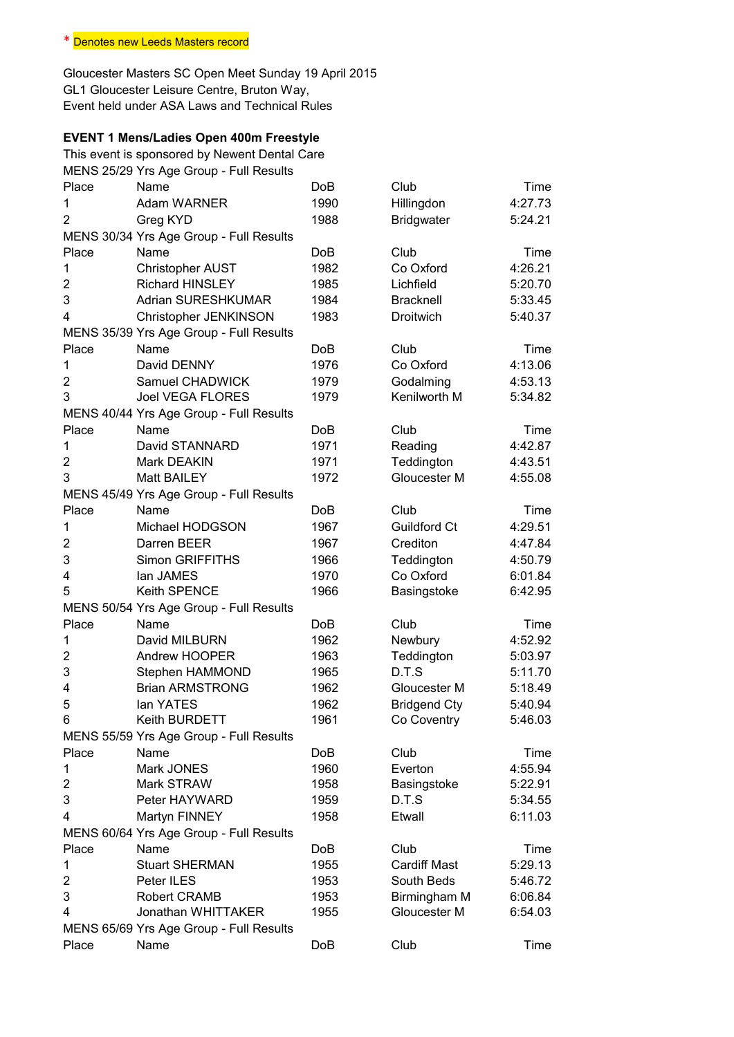## \* Denotes new Leeds Masters record

Gloucester Masters SC Open Meet Sunday 19 April 2015 Event held under ASA Laws and Technical Rules GL1 Gloucester Leisure Centre, Bruton Way,

## **EVENT 1 Mens/Ladies Open 400m Freestyle**

This event is sponsored by Newent Dental Care MENS 25/29 Yrs Age Group - Full Results

| Place          | Name                                    | <b>DoB</b> | Club                | Time    |
|----------------|-----------------------------------------|------------|---------------------|---------|
| 1              | Adam WARNER                             | 1990       | Hillingdon          | 4:27.73 |
| $\overline{2}$ | Greg KYD                                | 1988       | <b>Bridgwater</b>   | 5:24.21 |
|                | MENS 30/34 Yrs Age Group - Full Results |            |                     |         |
| Place          | Name                                    | DoB        | Club                | Time    |
| 1              | Christopher AUST                        | 1982       | Co Oxford           | 4:26.21 |
| 2              | Richard HINSLEY                         | 1985       | Lichfield           | 5:20.70 |
| 3              | Adrian SURESHKUMAR                      | 1984       | <b>Bracknell</b>    | 5:33.45 |
| 4              | Christopher JENKINSON                   | 1983       | Droitwich           | 5:40.37 |
|                | MENS 35/39 Yrs Age Group - Full Results |            |                     |         |
| Place          | Name                                    | DoB        | Club                | Time    |
| 1              | David DENNY                             | 1976       | Co Oxford           | 4:13.06 |
| 2              | Samuel CHADWICK                         | 1979       | Godalming           | 4:53.13 |
| 3              | <b>Joel VEGA FLORES</b>                 | 1979       | Kenilworth M        | 5:34.82 |
|                | MENS 40/44 Yrs Age Group - Full Results |            |                     |         |
| Place          | Name                                    | DoB        | Club                | Time    |
| 1              | David STANNARD                          | 1971       | Reading             | 4:42.87 |
| 2              | Mark DEAKIN                             | 1971       | Teddington          | 4:43.51 |
| 3              | Matt BAILEY                             | 1972       | Gloucester M        | 4:55.08 |
|                | MENS 45/49 Yrs Age Group - Full Results |            |                     |         |
| Place          | Name                                    | DoB        | Club                | Time    |
| 1              | Michael HODGSON                         | 1967       | <b>Guildford Ct</b> | 4:29.51 |
| 2              | Darren BEER                             | 1967       | Crediton            | 4:47.84 |
| 3              | <b>Simon GRIFFITHS</b>                  | 1966       | Teddington          | 4:50.79 |
| 4              | lan JAMES                               | 1970       | Co Oxford           | 6:01.84 |
| 5              | Keith SPENCE                            | 1966       | Basingstoke         | 6:42.95 |
|                | MENS 50/54 Yrs Age Group - Full Results |            |                     |         |
| Place          | Name                                    | DoB        | Club                | Time    |
| 1              | David MILBURN                           | 1962       | Newbury             | 4:52.92 |
| 2              | Andrew HOOPER                           | 1963       | Teddington          | 5:03.97 |
| 3              | Stephen HAMMOND                         | 1965       | D.T.S               | 5:11.70 |
| 4              | <b>Brian ARMSTRONG</b>                  | 1962       | Gloucester M        | 5:18.49 |
| 5              | lan YATES                               | 1962       | <b>Bridgend Cty</b> | 5:40.94 |
| 6              | Keith BURDETT                           | 1961       | Co Coventry         | 5:46.03 |
|                | MENS 55/59 Yrs Age Group - Full Results |            |                     |         |
| Place          | Name                                    | DoB        | Club                | Time    |
| 1              | Mark JONES                              | 1960       | Everton             | 4:55.94 |
| 2              | Mark STRAW                              | 1958       | Basingstoke         | 5:22.91 |
| 3              | Peter HAYWARD                           | 1959       | D.T.S               | 5:34.55 |
| 4              | Martyn FINNEY                           | 1958       | Etwall              | 6:11.03 |
|                | MENS 60/64 Yrs Age Group - Full Results |            |                     |         |
| Place          | Name                                    | DoB        | Club                | Time    |
| 1              | <b>Stuart SHERMAN</b>                   | 1955       | <b>Cardiff Mast</b> | 5:29.13 |
| 2              | Peter ILES                              | 1953       | South Beds          | 5:46.72 |
| 3              | <b>Robert CRAMB</b>                     | 1953       | Birmingham M        | 6:06.84 |
| 4              | Jonathan WHITTAKER                      | 1955       | Gloucester M        | 6:54.03 |
|                | MENS 65/69 Yrs Age Group - Full Results |            |                     |         |
| Place          | Name                                    | DoB        | Club                | Time    |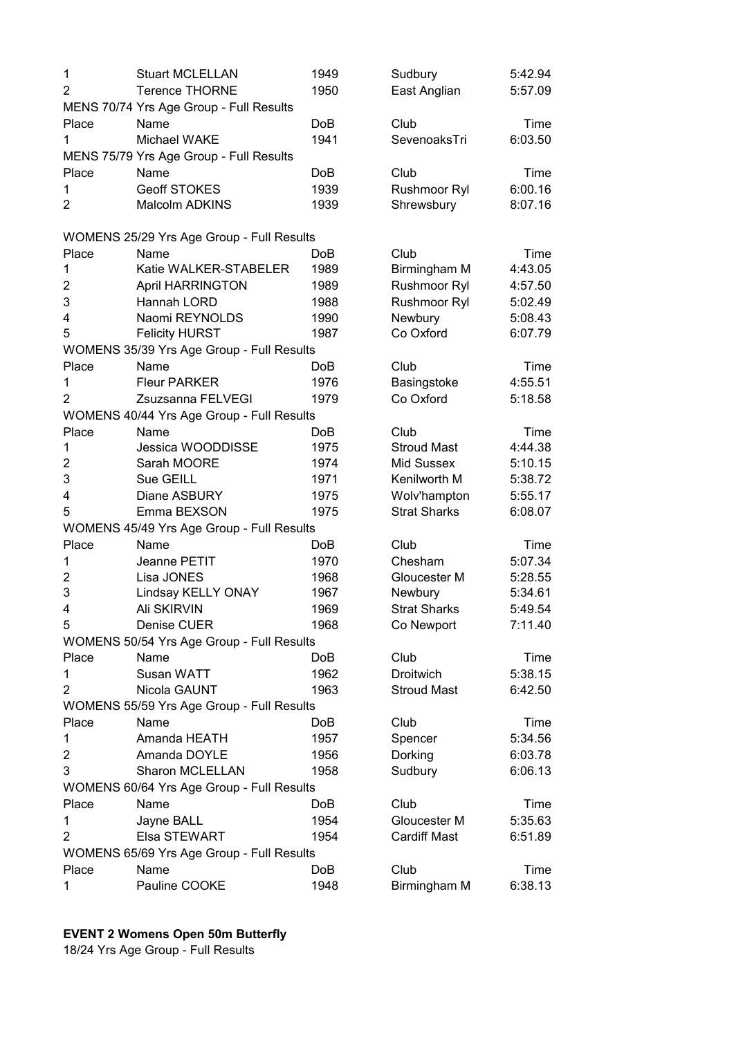| $\mathbf 1$             | <b>Stuart MCLELLAN</b>                    | 1949         | Sudbury             | 5:42.94            |
|-------------------------|-------------------------------------------|--------------|---------------------|--------------------|
| $\overline{2}$          | <b>Terence THORNE</b>                     | 1950         | East Anglian        | 5:57.09            |
|                         | MENS 70/74 Yrs Age Group - Full Results   |              |                     |                    |
| Place                   | Name                                      | DoB          | Club                | Time               |
| $\mathbf{1}$            | Michael WAKE                              | 1941         | SevenoaksTri        | 6:03.50            |
|                         | MENS 75/79 Yrs Age Group - Full Results   |              |                     |                    |
| Place                   | Name                                      | DoB          | Club                | Time               |
| 1                       | Geoff STOKES                              | 1939         | Rushmoor Ryl        | 6:00.16            |
| $\overline{2}$          | Malcolm ADKINS                            | 1939         | Shrewsbury          | 8:07.16            |
|                         |                                           |              |                     |                    |
|                         | WOMENS 25/29 Yrs Age Group - Full Results |              |                     |                    |
| Place                   | Name                                      | DoB          | Club                | Time               |
| 1                       | Katie WALKER-STABELER                     | 1989         | Birmingham M        | 4:43.05            |
| $\overline{2}$          | April HARRINGTON                          | 1989         | Rushmoor Ryl        | 4:57.50            |
| 3                       | Hannah LORD                               | 1988         | Rushmoor Ryl        | 5:02.49            |
| $\overline{\mathbf{4}}$ | Naomi REYNOLDS                            | 1990         | Newbury             | 5:08.43            |
| 5                       | <b>Felicity HURST</b>                     | 1987         | Co Oxford           | 6:07.79            |
|                         | WOMENS 35/39 Yrs Age Group - Full Results |              |                     |                    |
| Place                   | Name                                      | DoB          | Club                | Time               |
| 1                       | <b>Fleur PARKER</b>                       | 1976         | Basingstoke         | 4:55.51            |
| $\overline{2}$          | Zsuzsanna FELVEGI                         | 1979         | Co Oxford           | 5:18.58            |
|                         | WOMENS 40/44 Yrs Age Group - Full Results |              |                     |                    |
| Place                   | Name                                      | DoB          | Club                | Time               |
| 1                       | Jessica WOODDISSE                         | 1975         | <b>Stroud Mast</b>  | 4:44.38            |
| $\overline{2}$          | Sarah MOORE                               | 1974         | Mid Sussex          | 5:10.15            |
| 3                       | Sue GEILL                                 | 1971         | Kenilworth M        | 5:38.72            |
| $\overline{\mathbf{4}}$ | Diane ASBURY                              | 1975         | Wolv'hampton        | 5:55.17            |
| 5                       | Emma BEXSON                               | 1975         | <b>Strat Sharks</b> | 6:08.07            |
|                         | WOMENS 45/49 Yrs Age Group - Full Results |              |                     |                    |
| Place                   | Name                                      | DoB          | Club                | Time               |
| 1                       |                                           |              | Chesham             |                    |
| $\overline{2}$          | Jeanne PETIT<br>Lisa JONES                | 1970         | Gloucester M        | 5:07.34            |
| 3                       |                                           | 1968<br>1967 |                     | 5:28.55<br>5:34.61 |
|                         | Lindsay KELLY ONAY                        |              | Newbury             |                    |
| 4                       | Ali SKIRVIN<br>Denise CUER                | 1969<br>1968 | <b>Strat Sharks</b> | 5:49.54<br>7:11.40 |
| 5                       |                                           |              | Co Newport          |                    |
| Place                   | WOMENS 50/54 Yrs Age Group - Full Results |              |                     |                    |
|                         | Name                                      | DoB          | Club                | Time               |
| 1                       | Susan WATT                                | 1962         | Droitwich           | 5:38.15            |
| $\overline{2}$          | Nicola GAUNT                              | 1963         | <b>Stroud Mast</b>  | 6:42.50            |
|                         | WOMENS 55/59 Yrs Age Group - Full Results |              |                     |                    |
| Place                   | Name                                      | DoB          | Club                | Time               |
| 1                       | Amanda HEATH                              | 1957         | Spencer             | 5:34.56            |
| $\overline{2}$          | Amanda DOYLE                              | 1956         | Dorking             | 6:03.78            |
| 3                       | Sharon MCLELLAN                           | 1958         | Sudbury             | 6:06.13            |
|                         | WOMENS 60/64 Yrs Age Group - Full Results |              |                     |                    |
| Place                   | Name                                      | DoB          | Club                | Time               |
| 1                       | Jayne BALL                                | 1954         | Gloucester M        | 5:35.63            |
| $\overline{2}$          | Elsa STEWART                              | 1954         | <b>Cardiff Mast</b> | 6:51.89            |
|                         | WOMENS 65/69 Yrs Age Group - Full Results |              |                     |                    |
| Place                   | Name                                      | DoB          | Club                | Time               |
| 1                       | Pauline COOKE                             | 1948         | Birmingham M        | 6:38.13            |
|                         |                                           |              |                     |                    |

18/24 Yrs Age Group - Full Results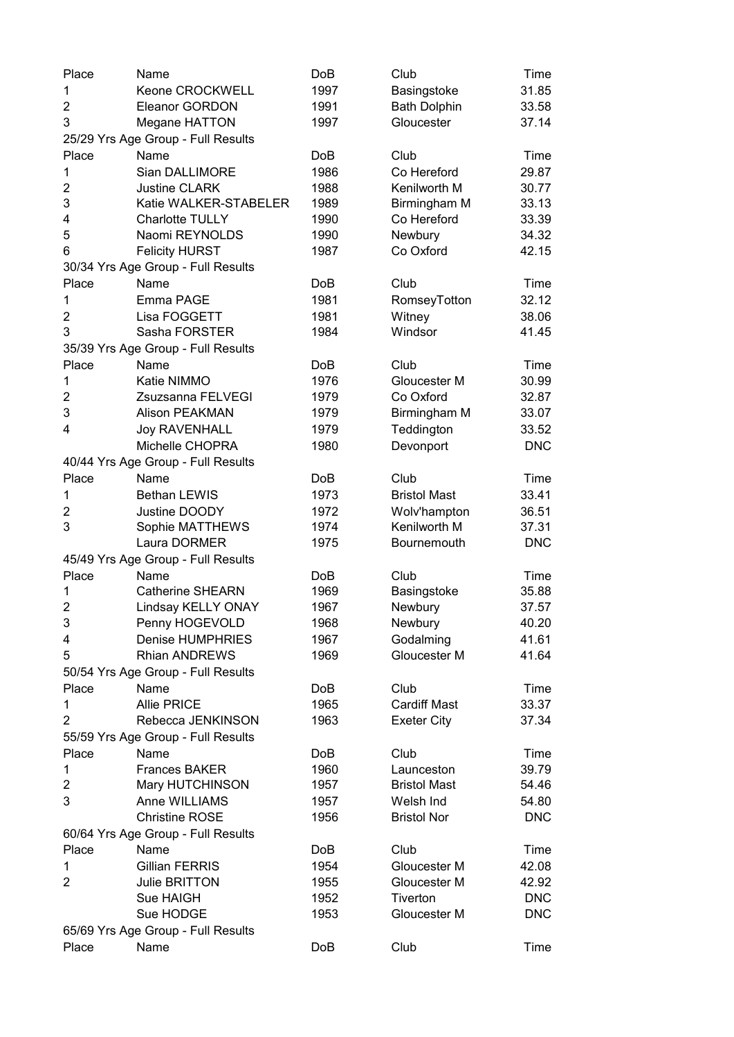| Place                   | Name                                       | DoB          | Club                         | Time           |
|-------------------------|--------------------------------------------|--------------|------------------------------|----------------|
| 1                       | Keone CROCKWELL                            | 1997         | Basingstoke                  | 31.85          |
| 2                       | Eleanor GORDON                             | 1991         | <b>Bath Dolphin</b>          | 33.58          |
| 3                       | Megane HATTON                              | 1997         | Gloucester                   | 37.14          |
|                         | 25/29 Yrs Age Group - Full Results         |              |                              |                |
| Place                   | Name                                       | DoB          | Club                         | Time           |
| 1                       | Sian DALLIMORE                             | 1986         | Co Hereford                  | 29.87          |
| 2                       | <b>Justine CLARK</b>                       | 1988         | Kenilworth M                 | 30.77          |
| 3                       | Katie WALKER-STABELER                      | 1989         | Birmingham M                 | 33.13          |
| 4                       | <b>Charlotte TULLY</b>                     | 1990         | Co Hereford                  | 33.39          |
| 5                       | Naomi REYNOLDS                             | 1990         | Newbury                      | 34.32          |
| 6                       | <b>Felicity HURST</b>                      | 1987         | Co Oxford                    | 42.15          |
|                         | 30/34 Yrs Age Group - Full Results         |              |                              |                |
| Place                   | Name                                       | DoB          | Club                         | Time           |
| 1                       | Emma PAGE                                  | 1981         | RomseyTotton                 | 32.12          |
| $\overline{2}$          | Lisa FOGGETT                               | 1981         | Witney                       | 38.06          |
| 3                       | Sasha FORSTER                              | 1984         | Windsor                      | 41.45          |
|                         | 35/39 Yrs Age Group - Full Results         |              |                              |                |
| Place                   | Name                                       | DoB          | Club                         | Time           |
| 1                       | Katie NIMMO                                | 1976         | <b>Gloucester M</b>          | 30.99          |
| $\overline{2}$          | Zsuzsanna FELVEGI                          | 1979         | Co Oxford                    | 32.87          |
| 3                       | <b>Alison PEAKMAN</b>                      | 1979         | Birmingham M                 | 33.07          |
| 4                       | <b>Joy RAVENHALL</b>                       | 1979         | Teddington                   | 33.52          |
|                         | Michelle CHOPRA                            | 1980         | Devonport                    | <b>DNC</b>     |
|                         | 40/44 Yrs Age Group - Full Results         |              |                              |                |
| Place                   | Name                                       | DoB          | Club                         | Time           |
| 1                       | <b>Bethan LEWIS</b>                        | 1973         | <b>Bristol Mast</b>          | 33.41          |
|                         | Justine DOODY                              |              |                              |                |
| 2<br>3                  |                                            | 1972<br>1974 | Wolv'hampton<br>Kenilworth M | 36.51<br>37.31 |
|                         | Sophie MATTHEWS<br>Laura DORMER            | 1975         | Bournemouth                  | <b>DNC</b>     |
|                         |                                            |              |                              |                |
| Place                   | 45/49 Yrs Age Group - Full Results<br>Name |              | Club                         | Time           |
|                         | <b>Catherine SHEARN</b>                    | DoB          |                              |                |
| 1<br>2                  | Lindsay KELLY ONAY                         | 1969         | Basingstoke<br>Newbury       | 35.88<br>37.57 |
| 3                       | Penny HOGEVOLD                             | 1967<br>1968 | Newbury                      | 40.20          |
|                         | <b>Denise HUMPHRIES</b>                    |              |                              |                |
| 4                       |                                            | 1967         | Godalming                    | 41.61          |
| 5                       | <b>Rhian ANDREWS</b>                       | 1969         | Gloucester M                 | 41.64          |
|                         | 50/54 Yrs Age Group - Full Results         |              |                              |                |
| Place                   | Name                                       | DoB          | Club                         | Time           |
| 1                       | <b>Allie PRICE</b>                         | 1965         | <b>Cardiff Mast</b>          | 33.37          |
| $\overline{2}$          | Rebecca JENKINSON                          | 1963         | <b>Exeter City</b>           | 37.34          |
|                         | 55/59 Yrs Age Group - Full Results         |              |                              |                |
| Place                   | Name                                       | DoB          | Club                         | Time           |
| 1                       | <b>Frances BAKER</b>                       | 1960         | Launceston                   | 39.79          |
| $\overline{\mathbf{c}}$ | Mary HUTCHINSON                            | 1957         | <b>Bristol Mast</b>          | 54.46          |
| 3                       | Anne WILLIAMS                              | 1957         | Welsh Ind                    | 54.80          |
|                         | <b>Christine ROSE</b>                      | 1956         | <b>Bristol Nor</b>           | <b>DNC</b>     |
|                         | 60/64 Yrs Age Group - Full Results         |              |                              |                |
| Place                   | Name                                       | DoB          | Club                         | Time           |
| 1                       | Gillian FERRIS                             | 1954         | Gloucester M                 | 42.08          |
| 2                       | Julie BRITTON                              | 1955         | Gloucester M                 | 42.92          |
|                         | Sue HAIGH                                  | 1952         | Tiverton                     | <b>DNC</b>     |
|                         | Sue HODGE                                  | 1953         | Gloucester M                 | <b>DNC</b>     |
|                         | 65/69 Yrs Age Group - Full Results         |              |                              |                |
| Place                   | Name                                       | DoB          | Club                         | Time           |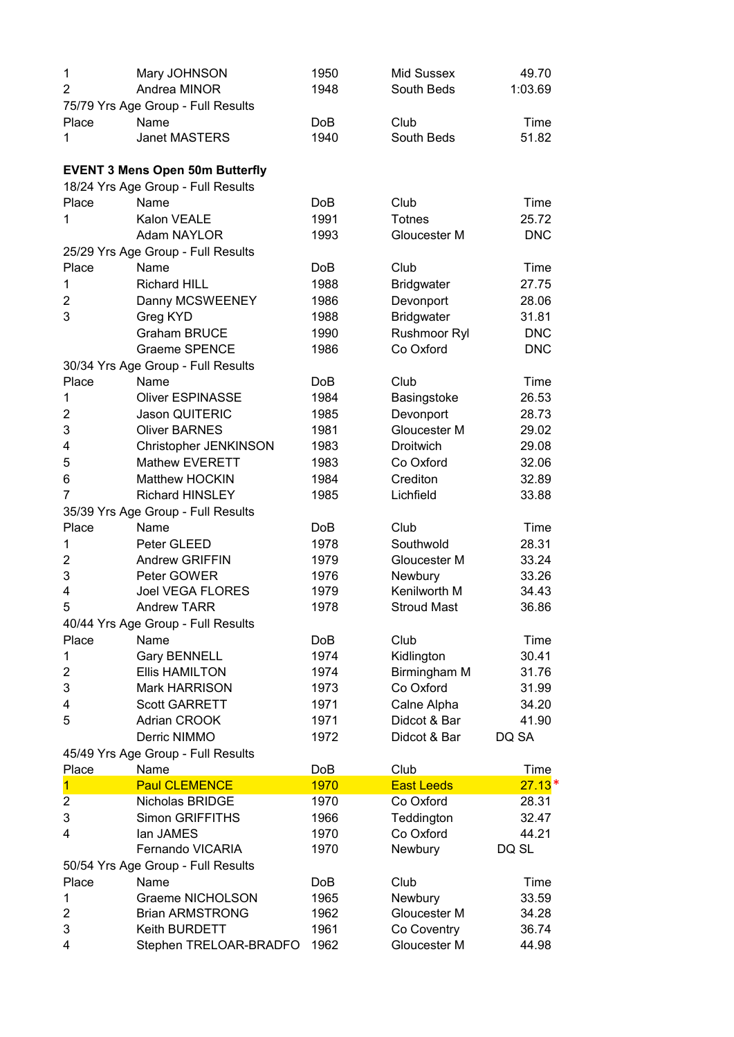| 1<br>$\overline{c}$     | Mary JOHNSON<br>Andrea MINOR           | 1950<br>1948       | Mid Sussex<br>South Beds    | 49.70<br>1:03.69 |
|-------------------------|----------------------------------------|--------------------|-----------------------------|------------------|
|                         | 75/79 Yrs Age Group - Full Results     |                    |                             |                  |
| Place<br>1              | Name<br>Janet MASTERS                  | <b>DoB</b><br>1940 | Club<br>South Beds          | Time<br>51.82    |
|                         | <b>EVENT 3 Mens Open 50m Butterfly</b> |                    |                             |                  |
|                         | 18/24 Yrs Age Group - Full Results     |                    |                             |                  |
| Place                   | Name                                   | <b>DoB</b>         | Club                        | Time             |
| 1                       | Kalon VEALE                            | 1991               | <b>Totnes</b>               | 25.72            |
|                         | Adam NAYLOR                            | 1993               | Gloucester M                | <b>DNC</b>       |
|                         | 25/29 Yrs Age Group - Full Results     |                    |                             |                  |
| Place                   | Name                                   | <b>DoB</b>         | Club                        | Time             |
| 1                       | <b>Richard HILL</b>                    | 1988               | <b>Bridgwater</b>           | 27.75            |
| $\overline{\mathbf{c}}$ | Danny MCSWEENEY                        | 1986               | Devonport                   | 28.06            |
| 3                       | Greg KYD                               | 1988               | <b>Bridgwater</b>           | 31.81            |
|                         | <b>Graham BRUCE</b>                    | 1990               | Rushmoor Ryl                | <b>DNC</b>       |
|                         | Graeme SPENCE                          | 1986               | Co Oxford                   | <b>DNC</b>       |
|                         | 30/34 Yrs Age Group - Full Results     |                    |                             |                  |
| Place                   | Name                                   | <b>DoB</b>         | Club                        | Time             |
| 1                       | <b>Oliver ESPINASSE</b>                | 1984               | Basingstoke                 | 26.53            |
| 2                       | Jason QUITERIC                         | 1985               | Devonport                   | 28.73            |
| 3                       | <b>Oliver BARNES</b>                   | 1981               | Gloucester M                | 29.02            |
| 4                       | Christopher JENKINSON                  | 1983               | Droitwich                   | 29.08            |
| 5                       | Mathew EVERETT                         | 1983               | Co Oxford                   | 32.06            |
| 6                       | Matthew HOCKIN                         | 1984               | Crediton                    | 32.89            |
| 7                       | <b>Richard HINSLEY</b>                 | 1985               | Lichfield                   | 33.88            |
|                         | 35/39 Yrs Age Group - Full Results     |                    |                             |                  |
| Place                   | Name                                   | <b>DoB</b>         | Club                        | Time             |
| 1                       | Peter GLEED                            | 1978               | Southwold                   | 28.31            |
| 2                       | Andrew GRIFFIN                         | 1979               | Gloucester M                | 33.24            |
| 3                       | Peter GOWER                            | 1976               | Newbury                     | 33.26            |
| 4                       | <b>Joel VEGA FLORES</b>                | 1979               | Kenilworth M                | 34.43            |
| 5                       | <b>Andrew TARR</b>                     | 1978               | <b>Stroud Mast</b>          | 36.86            |
|                         | 40/44 Yrs Age Group - Full Results     |                    |                             |                  |
| Place                   | Name                                   | DoB                | Club                        | Time             |
| 1                       | <b>Gary BENNELL</b>                    | 1974               | Kidlington                  | 30.41            |
| 2                       | <b>Ellis HAMILTON</b>                  | 1974               | Birmingham M                | 31.76            |
| 3                       | Mark HARRISON                          | 1973               | Co Oxford                   | 31.99            |
| 4                       | <b>Scott GARRETT</b>                   | 1971               | Calne Alpha                 | 34.20            |
| 5                       | Adrian CROOK                           | 1971               | Didcot & Bar                | 41.90            |
|                         | Derric NIMMO                           | 1972               | Didcot & Bar                | DQ SA            |
|                         | 45/49 Yrs Age Group - Full Results     |                    |                             |                  |
| Place                   | Name                                   | DoB                | Club                        | Time             |
| 1                       | <b>Paul CLEMENCE</b>                   | 1970               | <b>East Leeds</b>           | $27.13*$         |
| 2                       | Nicholas BRIDGE                        | 1970               | Co Oxford                   | 28.31            |
| 3                       | Simon GRIFFITHS                        | 1966               | Teddington                  | 32.47            |
| 4                       | lan JAMES                              | 1970               | Co Oxford                   | 44.21            |
|                         | Fernando VICARIA                       | 1970               | Newbury                     | DQ SL            |
|                         | 50/54 Yrs Age Group - Full Results     |                    |                             |                  |
| Place                   | Name                                   | DoB                | Club                        | Time             |
| 1                       | Graeme NICHOLSON                       | 1965               | Newbury                     | 33.59            |
| 2                       | <b>Brian ARMSTRONG</b>                 | 1962               | Gloucester M                | 34.28            |
| 3                       | Keith BURDETT                          | 1961               | Co Coventry<br>Gloucester M | 36.74            |
| 4                       | Stephen TRELOAR-BRADFO                 | 1962               |                             | 44.98            |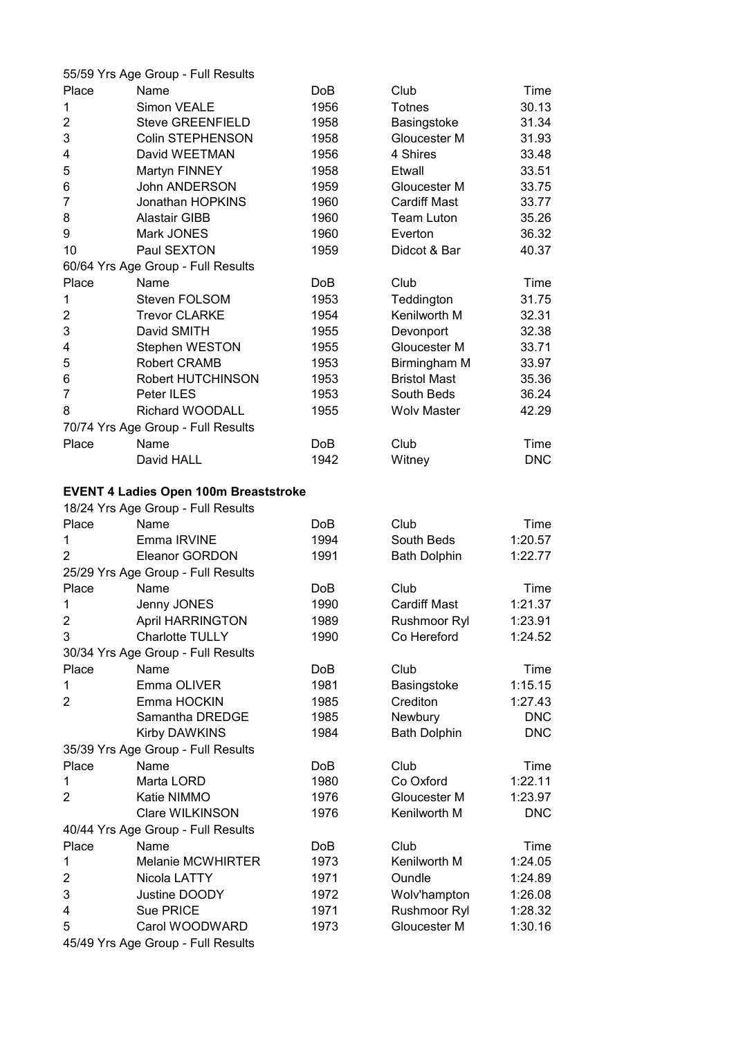|                         | 55/59 Yrs Age Group - Full Results                   |            |                     |            |
|-------------------------|------------------------------------------------------|------------|---------------------|------------|
| Place                   | Name                                                 | DoB        | Club                | Time       |
| 1                       | Simon VEALE                                          | 1956       | <b>Totnes</b>       | 30.13      |
| $\overline{\mathbf{c}}$ | <b>Steve GREENFIELD</b>                              | 1958       | Basingstoke         | 31.34      |
| 3                       | <b>Colin STEPHENSON</b>                              | 1958       | Gloucester M        | 31.93      |
| 4                       | David WEETMAN                                        | 1956       | 4 Shires            | 33.48      |
| 5                       | Martyn FINNEY                                        | 1958       | Etwall              | 33.51      |
| 6                       | John ANDERSON                                        | 1959       | Gloucester M        | 33.75      |
| 7                       | Jonathan HOPKINS                                     | 1960       | <b>Cardiff Mast</b> | 33.77      |
| 8                       | <b>Alastair GIBB</b>                                 | 1960       | <b>Team Luton</b>   | 35.26      |
| 9                       | Mark JONES                                           | 1960       | Everton             | 36.32      |
| 10                      | Paul SEXTON                                          | 1959       | Didcot & Bar        | 40.37      |
|                         | 60/64 Yrs Age Group - Full Results                   |            |                     |            |
| Place                   | Name                                                 | <b>DoB</b> | Club                | Time       |
| 1                       | Steven FOLSOM                                        | 1953       | Teddington          | 31.75      |
| 2                       | <b>Trevor CLARKE</b>                                 | 1954       | Kenilworth M        | 32.31      |
| 3                       | David SMITH                                          | 1955       | Devonport           | 32.38      |
| 4                       | Stephen WESTON                                       | 1955       | Gloucester M        | 33.71      |
| 5                       | Robert CRAMB                                         | 1953       | Birmingham M        | 33.97      |
| 6                       | Robert HUTCHINSON                                    | 1953       | <b>Bristol Mast</b> | 35.36      |
| 7                       | Peter ILES                                           | 1953       | South Beds          | 36.24      |
| 8                       | Richard WOODALL                                      | 1955       | <b>Wolv Master</b>  | 42.29      |
|                         | 70/74 Yrs Age Group - Full Results                   |            |                     |            |
| Place                   | Name                                                 | <b>DoB</b> | Club                | Time       |
|                         | David HALL                                           | 1942       |                     | <b>DNC</b> |
|                         |                                                      |            | Witney              |            |
|                         | <b>EVENT 4 Ladies Open 100m Breaststroke</b>         |            |                     |            |
|                         | 18/24 Yrs Age Group - Full Results                   |            |                     |            |
| Place                   | Name                                                 | DoB        | Club                | Time       |
| 1                       | Emma IRVINE                                          | 1994       | South Beds          | 1:20.57    |
| $\overline{2}$          | Eleanor GORDON                                       | 1991       | <b>Bath Dolphin</b> | 1:22.77    |
|                         |                                                      |            |                     |            |
|                         | 25/29 Yrs Age Group - Full Results                   |            |                     |            |
| Place                   | Name                                                 | DoB        | Club                | Time       |
| 1                       | Jenny JONES                                          | 1990       | <b>Cardiff Mast</b> | 1:21.37    |
| $\overline{\mathbf{c}}$ | <b>April HARRINGTON</b>                              | 1989       | Rushmoor Ryl        | 1:23.91    |
| 3                       | Charlotte TULLY                                      | 1990       | Co Hereford         | 1:24.52    |
|                         | 30/34 Yrs Age Group - Full Results                   |            |                     |            |
| Place                   | Name                                                 | DoB        | Club                | Time       |
| 1                       | Emma OLIVER                                          | 1981       | Basingstoke         | 1:15.15    |
| 2                       | Emma HOCKIN                                          |            |                     |            |
|                         |                                                      | 1985       | Crediton            | 1:27.43    |
|                         | Samantha DREDGE                                      | 1985       | Newbury             | <b>DNC</b> |
|                         | Kirby DAWKINS                                        | 1984       | <b>Bath Dolphin</b> | <b>DNC</b> |
|                         | 35/39 Yrs Age Group - Full Results                   |            |                     |            |
| Place                   | Name                                                 | DoB        | Club                | Time       |
| 1                       | Marta LORD                                           | 1980       | Co Oxford           | 1:22.11    |
| $\overline{2}$          | Katie NIMMO                                          | 1976       | Gloucester M        | 1:23.97    |
|                         | Clare WILKINSON                                      | 1976       | Kenilworth M        | <b>DNC</b> |
|                         | 40/44 Yrs Age Group - Full Results                   |            |                     |            |
| Place                   | Name                                                 | DoB        | Club                | Time       |
| 1                       | <b>Melanie MCWHIRTER</b>                             | 1973       | Kenilworth M        | 1:24.05    |
|                         |                                                      |            | Oundle              |            |
| 2                       | Nicola LATTY                                         | 1971       |                     | 1:24.89    |
| 3                       | Justine DOODY                                        | 1972       | Wolv'hampton        | 1:26.08    |
| 4                       | Sue PRICE                                            | 1971       | Rushmoor Ryl        | 1:28.32    |
| 5                       | Carol WOODWARD<br>45/49 Yrs Age Group - Full Results | 1973       | Gloucester M        | 1:30.16    |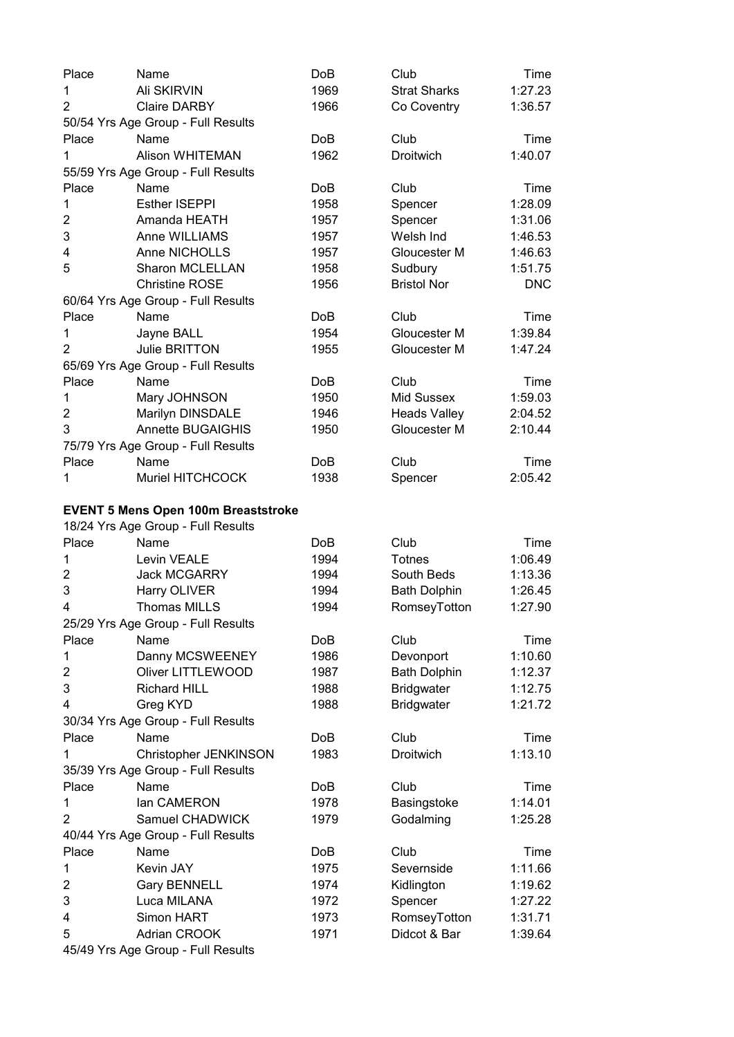| Place          | Name                                       | DoB        | Club                | Time       |
|----------------|--------------------------------------------|------------|---------------------|------------|
| 1              | Ali SKIRVIN                                | 1969       | <b>Strat Sharks</b> | 1:27.23    |
| $\overline{2}$ | <b>Claire DARBY</b>                        | 1966       | Co Coventry         | 1:36.57    |
|                | 50/54 Yrs Age Group - Full Results         |            |                     |            |
| Place          | Name                                       | <b>DoB</b> | Club                | Time       |
| 1              | Alison WHITEMAN                            | 1962       | Droitwich           | 1:40.07    |
|                | 55/59 Yrs Age Group - Full Results         |            |                     |            |
| Place          | Name                                       | DoB        | Club                | Time       |
| 1              | <b>Esther ISEPPI</b>                       | 1958       | Spencer             | 1:28.09    |
| 2              | Amanda HEATH                               | 1957       | Spencer             | 1:31.06    |
| 3              | Anne WILLIAMS                              | 1957       | Welsh Ind           | 1:46.53    |
| 4              | Anne NICHOLLS                              | 1957       | Gloucester M        | 1:46.63    |
| 5              | Sharon MCLELLAN                            | 1958       | Sudbury             | 1:51.75    |
|                | <b>Christine ROSE</b>                      | 1956       | <b>Bristol Nor</b>  | <b>DNC</b> |
|                | 60/64 Yrs Age Group - Full Results         |            |                     |            |
| Place          | Name                                       | DoB        | Club                | Time       |
| 1              | Jayne BALL                                 | 1954       | Gloucester M        | 1:39.84    |
| $\overline{2}$ | Julie BRITTON                              | 1955       | Gloucester M        | 1:47.24    |
|                | 65/69 Yrs Age Group - Full Results         |            |                     |            |
| Place          | Name                                       | <b>DoB</b> | Club                | Time       |
| 1              | Mary JOHNSON                               | 1950       | Mid Sussex          | 1:59.03    |
| $\overline{2}$ | Marilyn DINSDALE                           | 1946       | <b>Heads Valley</b> | 2:04.52    |
| 3              | <b>Annette BUGAIGHIS</b>                   | 1950       | Gloucester M        | 2:10.44    |
|                | 75/79 Yrs Age Group - Full Results         |            |                     |            |
| Place          | Name                                       | DoB        | Club                | Time       |
| 1              | <b>Muriel HITCHCOCK</b>                    | 1938       | Spencer             | 2:05.42    |
|                |                                            |            |                     |            |
|                | <b>EVENT 5 Mens Open 100m Breaststroke</b> |            |                     |            |
|                | 18/24 Yrs Age Group - Full Results         |            |                     |            |
| Place          | Name                                       | <b>DoB</b> | Club                | Time       |
| 1              | Levin VEALE                                | 1994       | <b>Totnes</b>       | 1:06.49    |
| $\overline{2}$ | <b>Jack MCGARRY</b>                        | 1994       | South Beds          | 1:13.36    |
| 3              | Harry OLIVER                               | 1994       | <b>Bath Dolphin</b> | 1:26.45    |
| 4              | <b>Thomas MILLS</b>                        | 1994       | RomseyTotton        | 1:27.90    |
|                | 25/29 Yrs Age Group - Full Results         |            |                     |            |
| Place          | Name                                       | DoB        | Club                | Time       |
| 1              | Danny MCSWEENEY                            | 1986       | Devonport           | 1:10.60    |
| $\overline{2}$ | Oliver LITTLEWOOD                          | 1987       | <b>Bath Dolphin</b> | 1:12.37    |
| 3              | <b>Richard HILL</b>                        | 1988       | <b>Bridgwater</b>   | 1:12.75    |
| 4              | Greg KYD                                   | 1988       | <b>Bridgwater</b>   | 1:21.72    |
|                | 30/34 Yrs Age Group - Full Results         |            |                     |            |
| Place          | Name                                       | <b>DoB</b> | Club                | Time       |
|                |                                            |            |                     |            |
| 1              | Christopher JENKINSON                      | 1983       | Droitwich           | 1:13.10    |
|                | 35/39 Yrs Age Group - Full Results         |            |                     |            |
| Place          | Name                                       | <b>DoB</b> | Club                | Time       |
| 1              | lan CAMERON                                | 1978       | Basingstoke         | 1:14.01    |
| $\overline{2}$ | Samuel CHADWICK                            | 1979       | Godalming           | 1:25.28    |
|                | 40/44 Yrs Age Group - Full Results         |            |                     |            |
| Place          | Name                                       | <b>DoB</b> | Club                | Time       |
| 1              | Kevin JAY                                  | 1975       | Severnside          | 1:11.66    |
| 2              | <b>Gary BENNELL</b>                        | 1974       | Kidlington          | 1:19.62    |
| 3              | Luca MILANA                                | 1972       | Spencer             | 1:27.22    |
| 4              | Simon HART                                 | 1973       | RomseyTotton        | 1:31.71    |
| 5              | Adrian CROOK                               | 1971       | Didcot & Bar        | 1:39.64    |
|                | 45/49 Yrs Age Group - Full Results         |            |                     |            |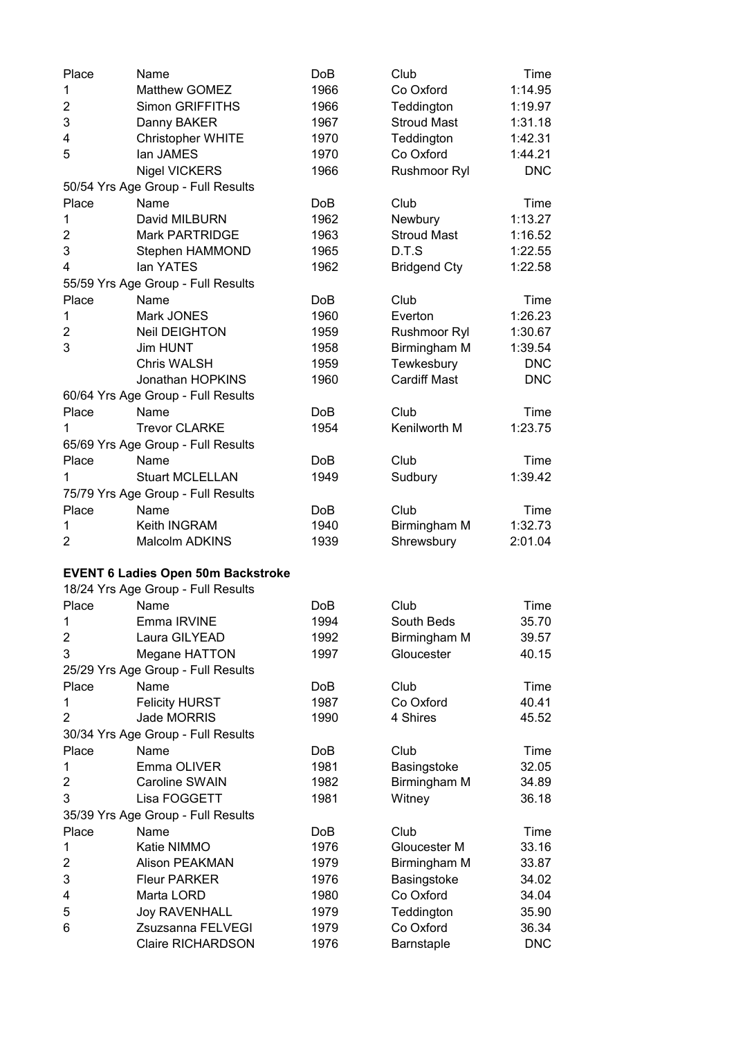| Place                   | Name                                      | DoB             | Club                | Time       |
|-------------------------|-------------------------------------------|-----------------|---------------------|------------|
| 1                       | Matthew GOMEZ                             | 1966            | Co Oxford           | 1:14.95    |
| 2                       | <b>Simon GRIFFITHS</b>                    | 1966            | Teddington          | 1:19.97    |
| 3                       | Danny BAKER                               | 1967            | <b>Stroud Mast</b>  | 1:31.18    |
| 4                       | Christopher WHITE                         | 1970            | Teddington          | 1:42.31    |
| 5                       | lan JAMES                                 | 1970            | Co Oxford           | 1:44.21    |
|                         | <b>Nigel VICKERS</b>                      | 1966            | Rushmoor Ryl        | <b>DNC</b> |
|                         | 50/54 Yrs Age Group - Full Results        |                 |                     |            |
| Place                   | Name                                      | <b>DoB</b>      | Club                | Time       |
| 1                       | David MILBURN                             | 1962            | Newbury             | 1:13.27    |
| $\overline{2}$          | Mark PARTRIDGE                            | 1963            | <b>Stroud Mast</b>  | 1:16.52    |
| 3                       | Stephen HAMMOND                           | 1965            | D.T.S               | 1:22.55    |
| 4                       | lan YATES                                 | 1962            | <b>Bridgend Cty</b> | 1:22.58    |
|                         | 55/59 Yrs Age Group - Full Results        |                 |                     |            |
| Place                   | Name                                      | <b>DoB</b>      | Club                | Time       |
| 1                       | Mark JONES                                | 1960            | Everton             | 1:26.23    |
| $\overline{2}$          | <b>Neil DEIGHTON</b>                      | 1959            | Rushmoor Ryl        | 1:30.67    |
| 3                       | Jim HUNT                                  | 1958            | Birmingham M        | 1:39.54    |
|                         | Chris WALSH                               | 1959            | Tewkesbury          | <b>DNC</b> |
|                         | Jonathan HOPKINS                          | 1960            | <b>Cardiff Mast</b> | <b>DNC</b> |
|                         | 60/64 Yrs Age Group - Full Results        |                 |                     |            |
| Place                   | Name                                      | <b>DoB</b>      | Club                | Time       |
|                         |                                           |                 | Kenilworth M        |            |
| 1                       | <b>Trevor CLARKE</b>                      | 1954            |                     | 1:23.75    |
|                         | 65/69 Yrs Age Group - Full Results        |                 |                     |            |
| Place                   | Name                                      | Do <sub>B</sub> | Club                | Time       |
| 1                       | <b>Stuart MCLELLAN</b>                    | 1949            | Sudbury             | 1:39.42    |
|                         | 75/79 Yrs Age Group - Full Results        |                 |                     |            |
| Place                   | Name                                      | DoB             | Club                | Time       |
| 1                       | Keith INGRAM                              | 1940            | Birmingham M        | 1:32.73    |
| 2                       | Malcolm ADKINS                            | 1939            | Shrewsbury          | 2:01.04    |
|                         |                                           |                 |                     |            |
|                         | <b>EVENT 6 Ladies Open 50m Backstroke</b> |                 |                     |            |
|                         | 18/24 Yrs Age Group - Full Results        |                 |                     |            |
| Place                   | Name                                      | DoB             | Club                | Time       |
| 1                       | Emma IRVINE                               | 1994            | South Beds          | 35.70      |
| 2                       | Laura GILYEAD                             | 1992            | Birmingham M        | 39.57      |
| 3                       | Megane HATTON                             | 1997            | Gloucester          | 40.15      |
|                         | 25/29 Yrs Age Group - Full Results        |                 |                     |            |
| Place                   | Name                                      | DoB             | Club                | Time       |
| 1                       | <b>Felicity HURST</b>                     | 1987            | Co Oxford           | 40.41      |
| $\overline{2}$          | Jade MORRIS                               | 1990            | 4 Shires            | 45.52      |
|                         | 30/34 Yrs Age Group - Full Results        |                 |                     |            |
| Place                   | Name                                      | DoB             | Club                | Time       |
| 1                       | Emma OLIVER                               | 1981            | Basingstoke         | 32.05      |
| $\overline{\mathbf{c}}$ | Caroline SWAIN                            | 1982            | Birmingham M        | 34.89      |
| 3                       | Lisa FOGGETT                              | 1981            | Witney              | 36.18      |
|                         | 35/39 Yrs Age Group - Full Results        |                 |                     |            |
| Place                   | Name                                      | <b>DoB</b>      | Club                | Time       |
| 1                       | Katie NIMMO                               | 1976            | Gloucester M        | 33.16      |
| $\overline{\mathbf{c}}$ | <b>Alison PEAKMAN</b>                     | 1979            | Birmingham M        | 33.87      |
| 3                       | <b>Fleur PARKER</b>                       | 1976            | Basingstoke         | 34.02      |
| 4                       | Marta LORD                                | 1980            | Co Oxford           | 34.04      |
| 5                       | <b>Joy RAVENHALL</b>                      | 1979            | Teddington          | 35.90      |
| 6                       | Zsuzsanna FELVEGI                         | 1979            | Co Oxford           | 36.34      |
|                         | <b>Claire RICHARDSON</b>                  | 1976            | Barnstaple          | <b>DNC</b> |
|                         |                                           |                 |                     |            |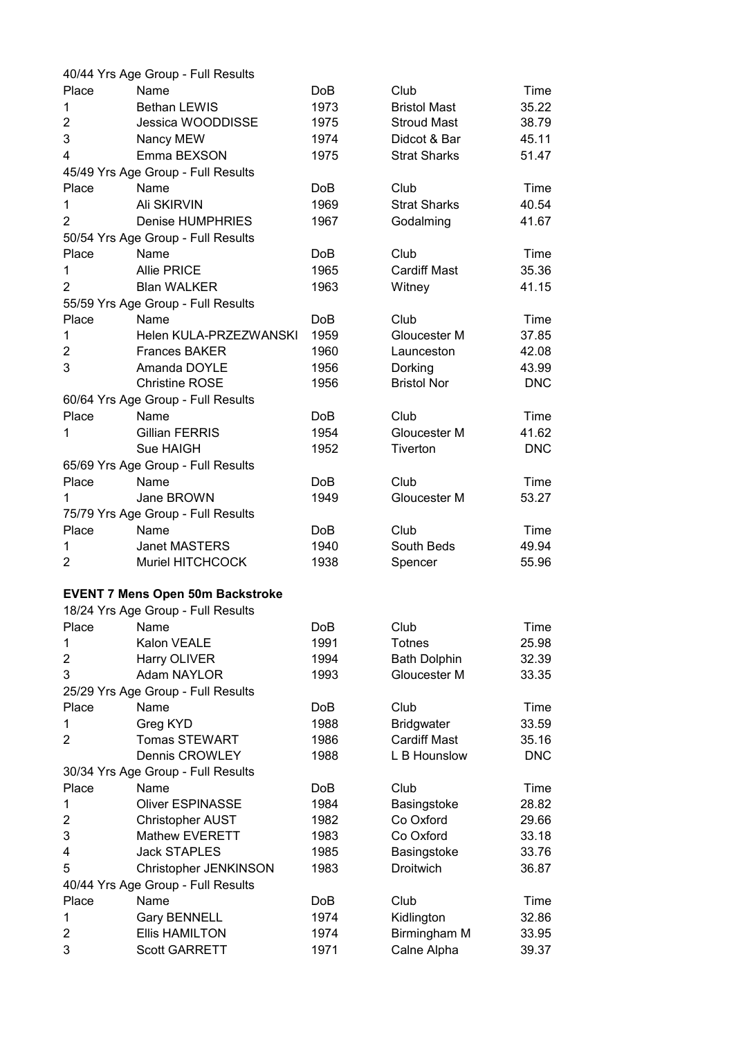|                         | 40/44 Yrs Age Group - Full Results      |                 |                     |            |
|-------------------------|-----------------------------------------|-----------------|---------------------|------------|
| Place                   | Name                                    | <b>DoB</b>      | Club                | Time       |
| 1                       | <b>Bethan LEWIS</b>                     | 1973            | <b>Bristol Mast</b> | 35.22      |
| 2                       | Jessica WOODDISSE                       | 1975            | <b>Stroud Mast</b>  | 38.79      |
| 3                       | Nancy MEW                               | 1974            | Didcot & Bar        | 45.11      |
| 4                       | Emma BEXSON                             | 1975            | <b>Strat Sharks</b> | 51.47      |
|                         | 45/49 Yrs Age Group - Full Results      |                 |                     |            |
| Place                   | Name                                    | <b>DoB</b>      | Club                | Time       |
| 1                       | Ali SKIRVIN                             | 1969            | <b>Strat Sharks</b> | 40.54      |
| $\overline{2}$          | <b>Denise HUMPHRIES</b>                 | 1967            | Godalming           | 41.67      |
|                         | 50/54 Yrs Age Group - Full Results      |                 |                     |            |
| Place                   | Name                                    | Do <sub>B</sub> | Club                | Time       |
| 1                       | <b>Allie PRICE</b>                      | 1965            | <b>Cardiff Mast</b> | 35.36      |
| $\overline{2}$          | <b>Blan WALKER</b>                      | 1963            | Witney              | 41.15      |
|                         | 55/59 Yrs Age Group - Full Results      |                 |                     |            |
| Place                   | Name                                    | <b>DoB</b>      | Club                | Time       |
| 1                       | Helen KULA-PRZEZWANSKI                  | 1959            | Gloucester M        | 37.85      |
| $\overline{2}$          | <b>Frances BAKER</b>                    | 1960            | Launceston          | 42.08      |
| 3                       | Amanda DOYLE                            | 1956            | Dorking             | 43.99      |
|                         | <b>Christine ROSE</b>                   | 1956            | <b>Bristol Nor</b>  | <b>DNC</b> |
|                         | 60/64 Yrs Age Group - Full Results      |                 |                     |            |
| Place                   | Name                                    | DoB             | Club                | Time       |
| 1                       | Gillian FERRIS                          | 1954            | Gloucester M        | 41.62      |
|                         | Sue HAIGH                               | 1952            | Tiverton            | <b>DNC</b> |
|                         | 65/69 Yrs Age Group - Full Results      |                 |                     |            |
| Place                   | Name                                    | DoB             | Club                | Time       |
| 1                       | Jane BROWN                              | 1949            | Gloucester M        | 53.27      |
|                         | 75/79 Yrs Age Group - Full Results      |                 |                     |            |
| Place                   | Name                                    | DoB             | Club                | Time       |
| 1                       | <b>Janet MASTERS</b>                    | 1940            | South Beds          | 49.94      |
| 2                       | Muriel HITCHCOCK                        | 1938            | Spencer             | 55.96      |
|                         |                                         |                 |                     |            |
|                         | <b>EVENT 7 Mens Open 50m Backstroke</b> |                 |                     |            |
|                         | 18/24 Yrs Age Group - Full Results      |                 |                     |            |
| Place                   | Name                                    | DoB             | Club                | Time       |
| 1                       | Kalon VEALE                             | 1991            | <b>Totnes</b>       | 25.98      |
| $\overline{\mathbf{c}}$ | Harry OLIVER                            | 1994            | <b>Bath Dolphin</b> | 32.39      |
| 3                       | <b>Adam NAYLOR</b>                      | 1993            | Gloucester M        | 33.35      |
|                         | 25/29 Yrs Age Group - Full Results      |                 |                     |            |
| Place                   | Name                                    | <b>DoB</b>      | Club                | Time       |
| 1                       | Greg KYD                                | 1988            | <b>Bridgwater</b>   | 33.59      |
| $\overline{2}$          | <b>Tomas STEWART</b>                    | 1986            | <b>Cardiff Mast</b> | 35.16      |
|                         | <b>Dennis CROWLEY</b>                   | 1988            | L B Hounslow        | <b>DNC</b> |
|                         | 30/34 Yrs Age Group - Full Results      |                 |                     |            |
| Place                   | Name                                    | DoB             | Club                | Time       |
| 1                       | <b>Oliver ESPINASSE</b>                 | 1984            | Basingstoke         | 28.82      |
| 2                       | Christopher AUST                        | 1982            | Co Oxford           | 29.66      |
| 3                       | Mathew EVERETT                          | 1983            | Co Oxford           | 33.18      |
| 4                       | <b>Jack STAPLES</b>                     | 1985            | Basingstoke         | 33.76      |
| 5                       | Christopher JENKINSON                   | 1983            | Droitwich           | 36.87      |
|                         | 40/44 Yrs Age Group - Full Results      |                 |                     |            |
| Place                   | Name                                    | DoB             | Club                | Time       |
| 1                       | <b>Gary BENNELL</b>                     | 1974            | Kidlington          | 32.86      |
| 2                       | <b>Ellis HAMILTON</b>                   | 1974            | Birmingham M        | 33.95      |
| 3                       | <b>Scott GARRETT</b>                    | 1971            | Calne Alpha         | 39.37      |
|                         |                                         |                 |                     |            |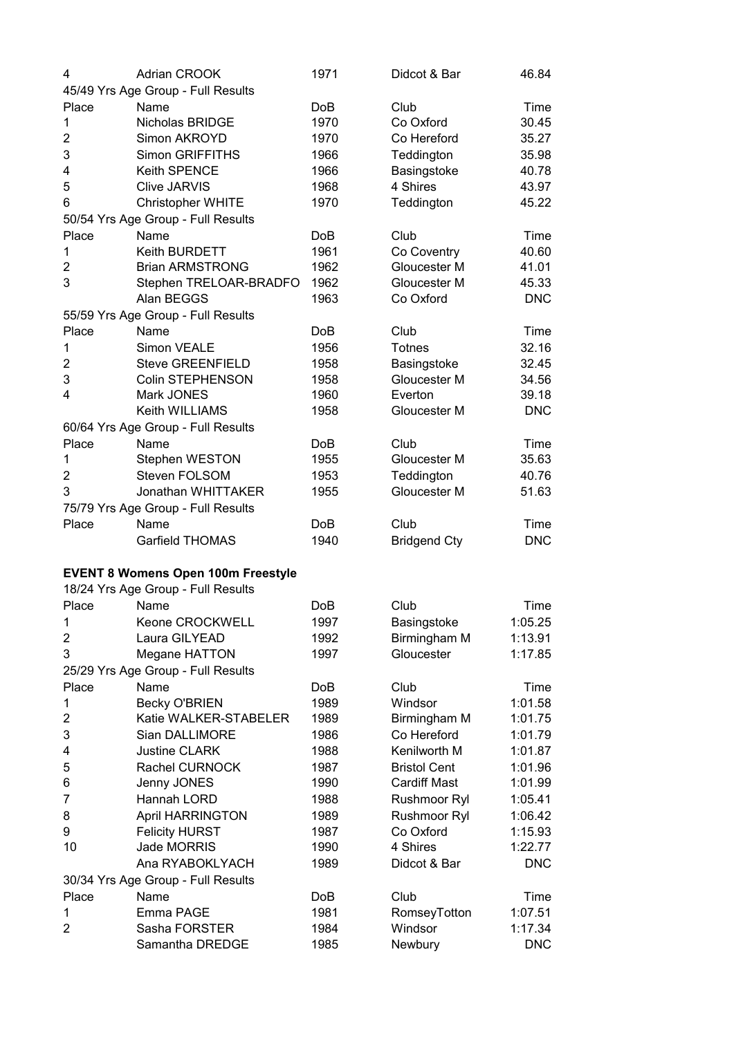| 4                       | <b>Adrian CROOK</b>                       | 1971       | Didcot & Bar        | 46.84      |
|-------------------------|-------------------------------------------|------------|---------------------|------------|
|                         | 45/49 Yrs Age Group - Full Results        |            |                     |            |
| Place                   | Name                                      | DoB        | Club                | Time       |
| 1                       | Nicholas BRIDGE                           | 1970       | Co Oxford           | 30.45      |
| 2                       | Simon AKROYD                              | 1970       | Co Hereford         | 35.27      |
| 3                       | <b>Simon GRIFFITHS</b>                    | 1966       | Teddington          | 35.98      |
| 4                       | Keith SPENCE                              | 1966       | Basingstoke         | 40.78      |
| 5                       | <b>Clive JARVIS</b>                       | 1968       | 4 Shires            | 43.97      |
| 6                       | <b>Christopher WHITE</b>                  | 1970       | Teddington          | 45.22      |
|                         | 50/54 Yrs Age Group - Full Results        |            |                     |            |
| Place                   | Name                                      | DoB        | Club                | Time       |
| 1                       | Keith BURDETT                             | 1961       | Co Coventry         | 40.60      |
| $\overline{c}$          | <b>Brian ARMSTRONG</b>                    | 1962       | Gloucester M        | 41.01      |
| 3                       | Stephen TRELOAR-BRADFO                    | 1962       | Gloucester M        | 45.33      |
|                         | Alan BEGGS                                | 1963       | Co Oxford           | <b>DNC</b> |
|                         | 55/59 Yrs Age Group - Full Results        |            |                     |            |
| Place                   | Name                                      | <b>DoB</b> | Club                | Time       |
| 1                       | Simon VEALE                               | 1956       | <b>Totnes</b>       | 32.16      |
| 2                       | <b>Steve GREENFIELD</b>                   | 1958       |                     | 32.45      |
| 3                       |                                           |            | Basingstoke         |            |
|                         | <b>Colin STEPHENSON</b>                   | 1958       | Gloucester M        | 34.56      |
| 4                       | Mark JONES                                | 1960       | Everton             | 39.18      |
|                         | Keith WILLIAMS                            | 1958       | Gloucester M        | <b>DNC</b> |
|                         | 60/64 Yrs Age Group - Full Results        |            |                     |            |
| Place                   | Name                                      | DoB        | Club                | Time       |
| 1                       | Stephen WESTON                            | 1955       | Gloucester M        | 35.63      |
| 2                       | Steven FOLSOM                             | 1953       | Teddington          | 40.76      |
| 3                       | Jonathan WHITTAKER                        | 1955       | Gloucester M        | 51.63      |
|                         | 75/79 Yrs Age Group - Full Results        |            |                     |            |
| Place                   | Name                                      | DoB        | Club                | Time       |
|                         | Garfield THOMAS                           | 1940       | <b>Bridgend Cty</b> | <b>DNC</b> |
|                         | <b>EVENT 8 Womens Open 100m Freestyle</b> |            |                     |            |
|                         | 18/24 Yrs Age Group - Full Results        |            |                     |            |
| Place                   | Name                                      | DoB        | Club                | Time       |
|                         |                                           |            |                     |            |
| 1                       | Keone CROCKWELL                           | 1997       | Basingstoke         | 1:05.25    |
| $\overline{\mathbf{c}}$ | Laura GILYEAD                             | 1992       | Birmingham M        | 1:13.91    |
| 3                       | Megane HATTON                             | 1997       | Gloucester          | 1:17.85    |
|                         | 25/29 Yrs Age Group - Full Results        |            |                     |            |
| Place                   | Name                                      | DoB        | Club                | Time       |
| 1                       | <b>Becky O'BRIEN</b>                      | 1989       | Windsor             | 1:01.58    |
| $\overline{2}$          | Katie WALKER-STABELER                     | 1989       | Birmingham M        | 1:01.75    |
| 3                       | Sian DALLIMORE                            | 1986       | Co Hereford         | 1:01.79    |
| 4                       | <b>Justine CLARK</b>                      | 1988       | Kenilworth M        | 1:01.87    |
| 5                       | <b>Rachel CURNOCK</b>                     | 1987       | <b>Bristol Cent</b> | 1:01.96    |
| 6                       | Jenny JONES                               | 1990       | <b>Cardiff Mast</b> | 1:01.99    |
| 7                       | Hannah LORD                               | 1988       | Rushmoor Ryl        | 1:05.41    |
| 8                       | <b>April HARRINGTON</b>                   | 1989       | Rushmoor Ryl        | 1:06.42    |
| 9                       | <b>Felicity HURST</b>                     | 1987       | Co Oxford           | 1:15.93    |
| 10                      | Jade MORRIS                               | 1990       | 4 Shires            | 1:22.77    |
|                         | Ana RYABOKLYACH                           | 1989       | Didcot & Bar        | <b>DNC</b> |
|                         | 30/34 Yrs Age Group - Full Results        |            |                     |            |
| Place                   | Name                                      | DoB        | Club                | Time       |
| 1                       | Emma PAGE                                 | 1981       | RomseyTotton        | 1:07.51    |
| $\overline{2}$          | Sasha FORSTER                             | 1984       | Windsor             | 1:17.34    |
|                         | Samantha DREDGE                           | 1985       | Newbury             | <b>DNC</b> |
|                         |                                           |            |                     |            |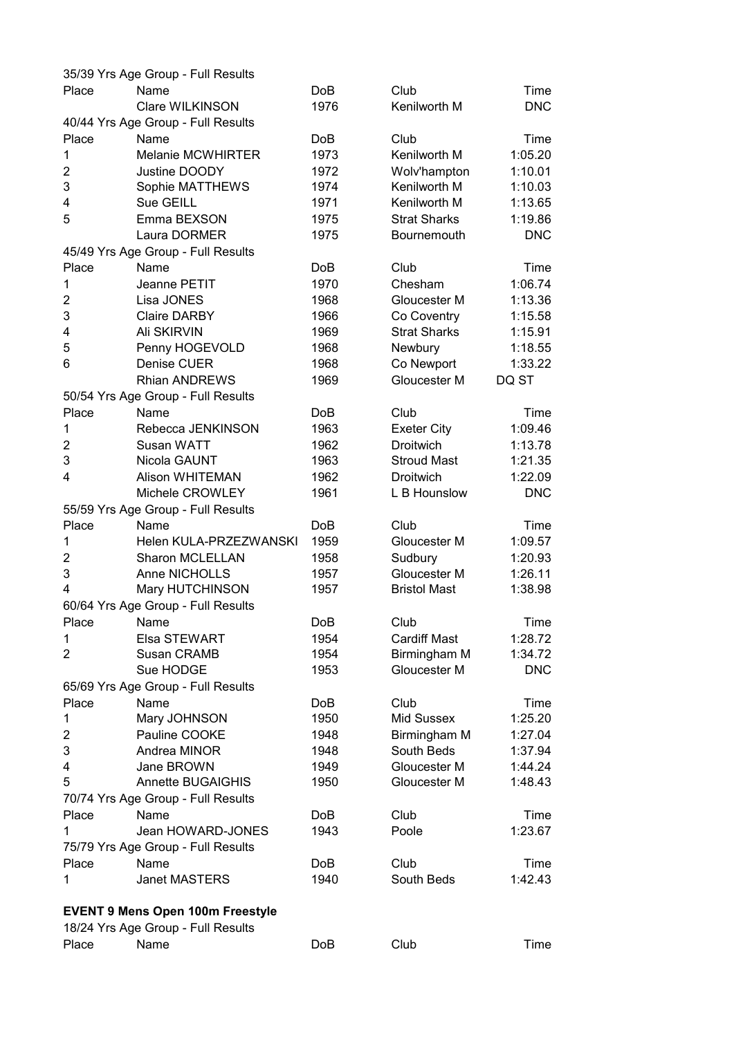|                | 35/39 Yrs Age Group - Full Results      |      |                     |            |
|----------------|-----------------------------------------|------|---------------------|------------|
| Place          | Name                                    | DoB  | Club                | Time       |
|                | Clare WILKINSON                         | 1976 | Kenilworth M        | <b>DNC</b> |
|                | 40/44 Yrs Age Group - Full Results      |      |                     |            |
| Place          | Name                                    | DoB  | Club                | Time       |
| 1              | <b>Melanie MCWHIRTER</b>                | 1973 | Kenilworth M        | 1:05.20    |
| $\overline{2}$ | Justine DOODY                           | 1972 | Wolv'hampton        | 1:10.01    |
| 3              | Sophie MATTHEWS                         | 1974 | Kenilworth M        | 1:10.03    |
| 4              | Sue GEILL                               | 1971 | Kenilworth M        | 1:13.65    |
| 5              | Emma BEXSON                             | 1975 | <b>Strat Sharks</b> | 1:19.86    |
|                | Laura DORMER                            | 1975 | Bournemouth         | <b>DNC</b> |
|                | 45/49 Yrs Age Group - Full Results      |      |                     |            |
| Place          | Name                                    | DoB  | Club                | Time       |
| 1              | Jeanne PETIT                            | 1970 | Chesham             | 1:06.74    |
| $\overline{2}$ | Lisa JONES                              | 1968 | Gloucester M        | 1:13.36    |
| 3              | <b>Claire DARBY</b>                     | 1966 | Co Coventry         | 1:15.58    |
| 4              | Ali SKIRVIN                             | 1969 | <b>Strat Sharks</b> | 1:15.91    |
| 5              | Penny HOGEVOLD                          | 1968 | Newbury             | 1:18.55    |
| 6              | Denise CUER                             | 1968 | Co Newport          | 1:33.22    |
|                | <b>Rhian ANDREWS</b>                    | 1969 | Gloucester M        | DQ ST      |
|                | 50/54 Yrs Age Group - Full Results      |      |                     |            |
| Place          | Name                                    | DoB  | Club                | Time       |
| 1              | Rebecca JENKINSON                       | 1963 | <b>Exeter City</b>  | 1:09.46    |
| $\overline{2}$ | Susan WATT                              | 1962 | Droitwich           | 1:13.78    |
| 3              | Nicola GAUNT                            | 1963 | <b>Stroud Mast</b>  | 1:21.35    |
| 4              | <b>Alison WHITEMAN</b>                  | 1962 | Droitwich           | 1:22.09    |
|                | Michele CROWLEY                         | 1961 | L B Hounslow        | <b>DNC</b> |
|                | 55/59 Yrs Age Group - Full Results      |      |                     |            |
| Place          | Name                                    | DoB  | Club                | Time       |
| 1              | Helen KULA-PRZEZWANSKI                  | 1959 | Gloucester M        | 1:09.57    |
| 2              | Sharon MCLELLAN                         | 1958 | Sudbury             | 1:20.93    |
| 3              | Anne NICHOLLS                           | 1957 | Gloucester M        | 1:26.11    |
| 4              | Mary HUTCHINSON                         | 1957 | <b>Bristol Mast</b> | 1:38.98    |
|                | 60/64 Yrs Age Group - Full Results      |      |                     |            |
| Place          | Name                                    | DoB  | Club                | Time       |
|                |                                         |      |                     |            |
| 1              | Elsa STEWART                            | 1954 | <b>Cardiff Mast</b> | 1:28.72    |
| 2              | Susan CRAMB<br>Sue HODGE                | 1954 | Birmingham M        | 1:34.72    |
|                |                                         | 1953 | Gloucester M        | <b>DNC</b> |
|                | 65/69 Yrs Age Group - Full Results      |      |                     |            |
| Place          | Name                                    | DoB  | Club                | Time       |
| 1              | Mary JOHNSON                            | 1950 | Mid Sussex          | 1:25.20    |
| 2              | Pauline COOKE                           | 1948 | Birmingham M        | 1:27.04    |
| 3              | Andrea MINOR                            | 1948 | South Beds          | 1:37.94    |
| 4              | Jane BROWN                              | 1949 | Gloucester M        | 1:44.24    |
| 5              | <b>Annette BUGAIGHIS</b>                | 1950 | Gloucester M        | 1:48.43    |
|                | 70/74 Yrs Age Group - Full Results      |      |                     |            |
| Place          | Name                                    | DoB  | Club                | Time       |
| 1              | Jean HOWARD-JONES                       | 1943 | Poole               | 1:23.67    |
|                | 75/79 Yrs Age Group - Full Results      |      |                     |            |
| Place          | Name                                    | DoB  | Club                | Time       |
| 1              | Janet MASTERS                           | 1940 | South Beds          | 1:42.43    |
|                |                                         |      |                     |            |
|                | <b>EVENT 9 Mens Open 100m Freestyle</b> |      |                     |            |
|                | 18/24 Yrs Age Group - Full Results      |      |                     |            |
| Place          | Name                                    | DoB  | Club                | Time       |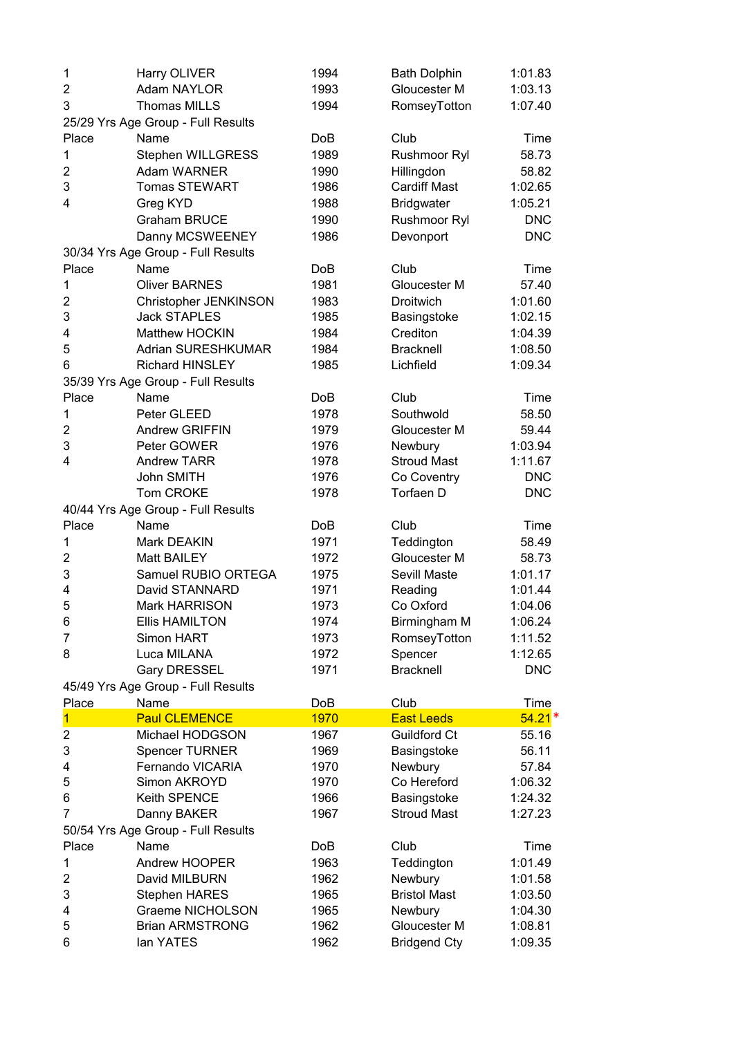| 1              | Harry OLIVER                       | 1994 | <b>Bath Dolphin</b> | 1:01.83    |
|----------------|------------------------------------|------|---------------------|------------|
| $\overline{2}$ | <b>Adam NAYLOR</b>                 | 1993 | Gloucester M        | 1:03.13    |
| 3              | <b>Thomas MILLS</b>                | 1994 | RomseyTotton        | 1:07.40    |
|                | 25/29 Yrs Age Group - Full Results |      |                     |            |
| Place          | Name                               | DoB  | Club                | Time       |
| 1              | Stephen WILLGRESS                  | 1989 | Rushmoor Ryl        | 58.73      |
| $\overline{2}$ | Adam WARNER                        | 1990 | Hillingdon          | 58.82      |
| 3              | <b>Tomas STEWART</b>               | 1986 | <b>Cardiff Mast</b> | 1:02.65    |
| 4              | Greg KYD                           | 1988 | <b>Bridgwater</b>   | 1:05.21    |
|                | <b>Graham BRUCE</b>                | 1990 | Rushmoor Ryl        | <b>DNC</b> |
|                | Danny MCSWEENEY                    | 1986 | Devonport           | <b>DNC</b> |
|                | 30/34 Yrs Age Group - Full Results |      |                     |            |
| Place          | Name                               | DoB  | Club                | Time       |
| 1              | <b>Oliver BARNES</b>               | 1981 | Gloucester M        | 57.40      |
| 2              | Christopher JENKINSON              | 1983 | Droitwich           | 1:01.60    |
| 3              | <b>Jack STAPLES</b>                | 1985 | Basingstoke         | 1:02.15    |
| 4              | <b>Matthew HOCKIN</b>              | 1984 | Crediton            | 1:04.39    |
| 5              | <b>Adrian SURESHKUMAR</b>          | 1984 | <b>Bracknell</b>    | 1:08.50    |
| 6              | <b>Richard HINSLEY</b>             | 1985 | Lichfield           | 1:09.34    |
|                | 35/39 Yrs Age Group - Full Results |      |                     |            |
| Place          | Name                               | DoB  | Club                | Time       |
| 1              | Peter GLEED                        | 1978 | Southwold           | 58.50      |
| $\overline{2}$ | <b>Andrew GRIFFIN</b>              | 1979 | Gloucester M        | 59.44      |
| 3              | Peter GOWER                        | 1976 | Newbury             | 1:03.94    |
| 4              | <b>Andrew TARR</b>                 | 1978 | <b>Stroud Mast</b>  | 1:11.67    |
|                | John SMITH                         | 1976 | Co Coventry         | <b>DNC</b> |
|                | Tom CROKE                          | 1978 | Torfaen D           | <b>DNC</b> |
|                | 40/44 Yrs Age Group - Full Results |      |                     |            |
| Place          | Name                               | DoB  | Club                | Time       |
| 1              | Mark DEAKIN                        | 1971 | Teddington          | 58.49      |
| $\overline{2}$ | <b>Matt BAILEY</b>                 | 1972 | Gloucester M        | 58.73      |
| 3              | Samuel RUBIO ORTEGA                | 1975 | Sevill Maste        | 1:01.17    |
| 4              | David STANNARD                     | 1971 | Reading             | 1:01.44    |
| 5              | Mark HARRISON                      | 1973 | Co Oxford           | 1:04.06    |
| 6              | <b>Ellis HAMILTON</b>              | 1974 | Birmingham M        | 1:06.24    |
| 7              | Simon HART                         | 1973 | RomseyTotton        | 1:11.52    |
| 8              | Luca MILANA                        | 1972 | Spencer             | 1:12.65    |
|                | Gary DRESSEL                       | 1971 | <b>Bracknell</b>    | <b>DNC</b> |
|                | 45/49 Yrs Age Group - Full Results |      |                     |            |
| Place          | Name                               | DoB  | Club                | Time       |
| 1              | <b>Paul CLEMENCE</b>               | 1970 | <b>East Leeds</b>   | $54.21*$   |
| 2              | Michael HODGSON                    | 1967 | Guildford Ct        | 55.16      |
| 3              | <b>Spencer TURNER</b>              | 1969 | Basingstoke         | 56.11      |
| 4              | Fernando VICARIA                   | 1970 | Newbury             | 57.84      |
| 5              | Simon AKROYD                       | 1970 | Co Hereford         | 1:06.32    |
| 6              | Keith SPENCE                       | 1966 | Basingstoke         | 1:24.32    |
| 7              | Danny BAKER                        | 1967 | <b>Stroud Mast</b>  | 1:27.23    |
|                | 50/54 Yrs Age Group - Full Results |      |                     |            |
| Place          | Name                               | DoB  | Club                | Time       |
| 1              | Andrew HOOPER                      | 1963 | Teddington          | 1:01.49    |
| 2              | David MILBURN                      | 1962 | Newbury             | 1:01.58    |
| 3              | <b>Stephen HARES</b>               | 1965 | <b>Bristol Mast</b> | 1:03.50    |
| 4              | Graeme NICHOLSON                   | 1965 | Newbury             | 1:04.30    |
| 5              | <b>Brian ARMSTRONG</b>             | 1962 | Gloucester M        | 1:08.81    |
| 6              | lan YATES                          | 1962 | <b>Bridgend Cty</b> | 1:09.35    |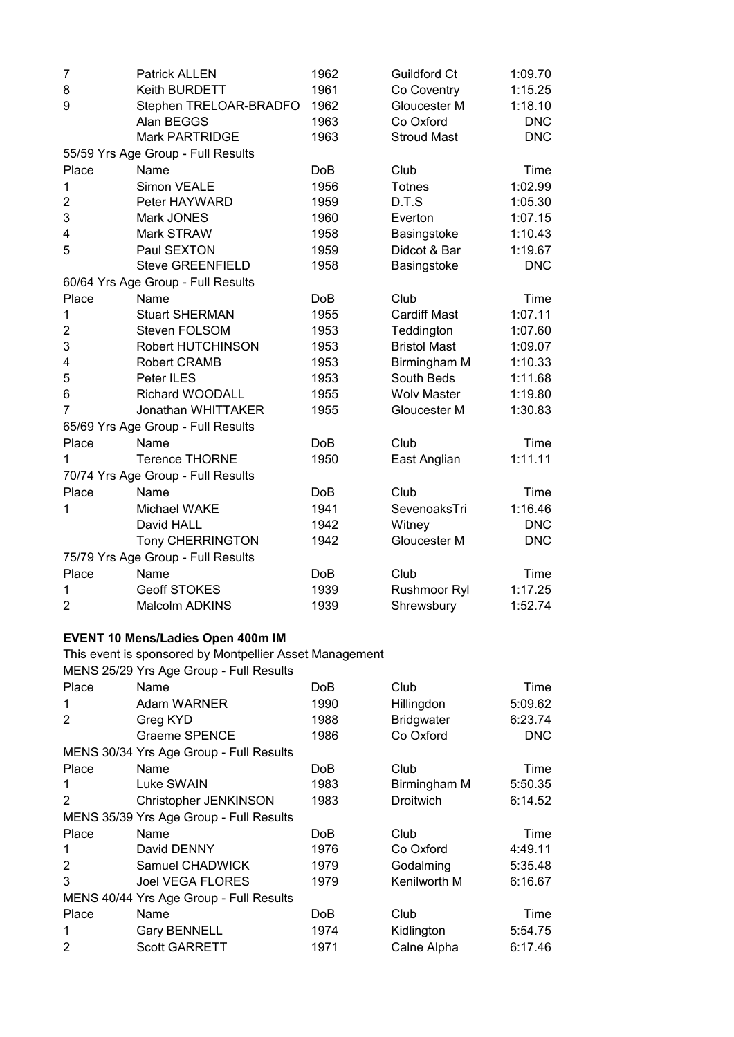| $\overline{7}$ | <b>Patrick ALLEN</b>               | 1962       | <b>Guildford Ct</b> | 1:09.70    |
|----------------|------------------------------------|------------|---------------------|------------|
| 8              | Keith BURDETT                      | 1961       | Co Coventry         | 1:15.25    |
| 9              | Stephen TRELOAR-BRADFO             | 1962       | Gloucester M        | 1:18.10    |
|                | Alan BEGGS                         | 1963       | Co Oxford           | <b>DNC</b> |
|                | <b>Mark PARTRIDGE</b>              | 1963       | <b>Stroud Mast</b>  | <b>DNC</b> |
|                | 55/59 Yrs Age Group - Full Results |            |                     |            |
| Place          | Name                               | <b>DoB</b> | Club                | Time       |
| 1              | Simon VEALE                        | 1956       | <b>Totnes</b>       | 1:02.99    |
| 2              | Peter HAYWARD                      | 1959       | D.T.S               | 1:05.30    |
| 3              | Mark JONES                         | 1960       | Everton             | 1:07.15    |
| 4              | Mark STRAW                         | 1958       | Basingstoke         | 1:10.43    |
| 5              | Paul SEXTON                        | 1959       | Didcot & Bar        | 1:19.67    |
|                | <b>Steve GREENFIELD</b>            | 1958       | Basingstoke         | <b>DNC</b> |
|                | 60/64 Yrs Age Group - Full Results |            |                     |            |
| Place          | Name                               | DoB        | Club                | Time       |
| 1              | <b>Stuart SHERMAN</b>              | 1955       | <b>Cardiff Mast</b> | 1:07.11    |
| 2              | Steven FOLSOM                      | 1953       | Teddington          | 1:07.60    |
| 3              | Robert HUTCHINSON                  | 1953       | <b>Bristol Mast</b> | 1:09.07    |
| 4              | Robert CRAMB                       | 1953       | Birmingham M        | 1:10.33    |
| 5              | Peter ILES                         | 1953       | South Beds          | 1:11.68    |
| 6              | Richard WOODALL                    | 1955       | <b>Wolv Master</b>  | 1:19.80    |
| 7              | Jonathan WHITTAKER                 | 1955       | Gloucester M        | 1:30.83    |
|                | 65/69 Yrs Age Group - Full Results |            |                     |            |
| Place          | Name                               | <b>DoB</b> | Club                | Time       |
| 1              | <b>Terence THORNE</b>              | 1950       | East Anglian        | 1:11.11    |
|                | 70/74 Yrs Age Group - Full Results |            |                     |            |
| Place          | Name                               | DoB        | Club                | Time       |
| 1              | Michael WAKE                       | 1941       | SevenoaksTri        | 1:16.46    |
|                | David HALL                         | 1942       | Witney              | <b>DNC</b> |
|                | <b>Tony CHERRINGTON</b>            | 1942       | Gloucester M        | <b>DNC</b> |
|                | 75/79 Yrs Age Group - Full Results |            |                     |            |
| Place          | Name                               | <b>DoB</b> | Club                | Time       |
| 1              | <b>Geoff STOKES</b>                | 1939       | Rushmoor Ryl        | 1:17.25    |
| $\overline{2}$ | Malcolm ADKINS                     | 1939       | Shrewsbury          | 1:52.74    |

## **EVENT 10 Mens/Ladies Open 400m IM**

This event is sponsored by Montpellier Asset Management

|                | MENS 25/29 Yrs Age Group - Full Results |      |                   |            |
|----------------|-----------------------------------------|------|-------------------|------------|
| Place          | Name                                    | DoB. | Club              | Time       |
| 1              | Adam WARNER                             | 1990 | Hillingdon        | 5:09.62    |
| 2              | Greg KYD                                | 1988 | <b>Bridgwater</b> | 6:23.74    |
|                | Graeme SPENCE                           | 1986 | Co Oxford         | <b>DNC</b> |
|                | MENS 30/34 Yrs Age Group - Full Results |      |                   |            |
| Place          | Name                                    | DoB  | Club              | Time       |
|                | Luke SWAIN                              | 1983 | Birmingham M      | 5:50.35    |
| 2              | Christopher JENKINSON                   | 1983 | <b>Droitwich</b>  | 6:14.52    |
|                | MENS 35/39 Yrs Age Group - Full Results |      |                   |            |
| Place          | Name                                    | DoB  | Club              | Time       |
| 1              | David DENNY                             | 1976 | Co Oxford         | 4:49.11    |
| 2              | Samuel CHADWICK                         | 1979 | Godalming         | 5:35.48    |
| 3              | <b>Joel VEGA FLORES</b>                 | 1979 | Kenilworth M      | 6:16.67    |
|                | MENS 40/44 Yrs Age Group - Full Results |      |                   |            |
| Place          | Name                                    | DoB  | Club              | Time       |
| 1              | <b>Gary BENNELL</b>                     | 1974 | Kidlington        | 5:54.75    |
| $\overline{2}$ | <b>Scott GARRETT</b>                    | 1971 | Calne Alpha       | 6:17.46    |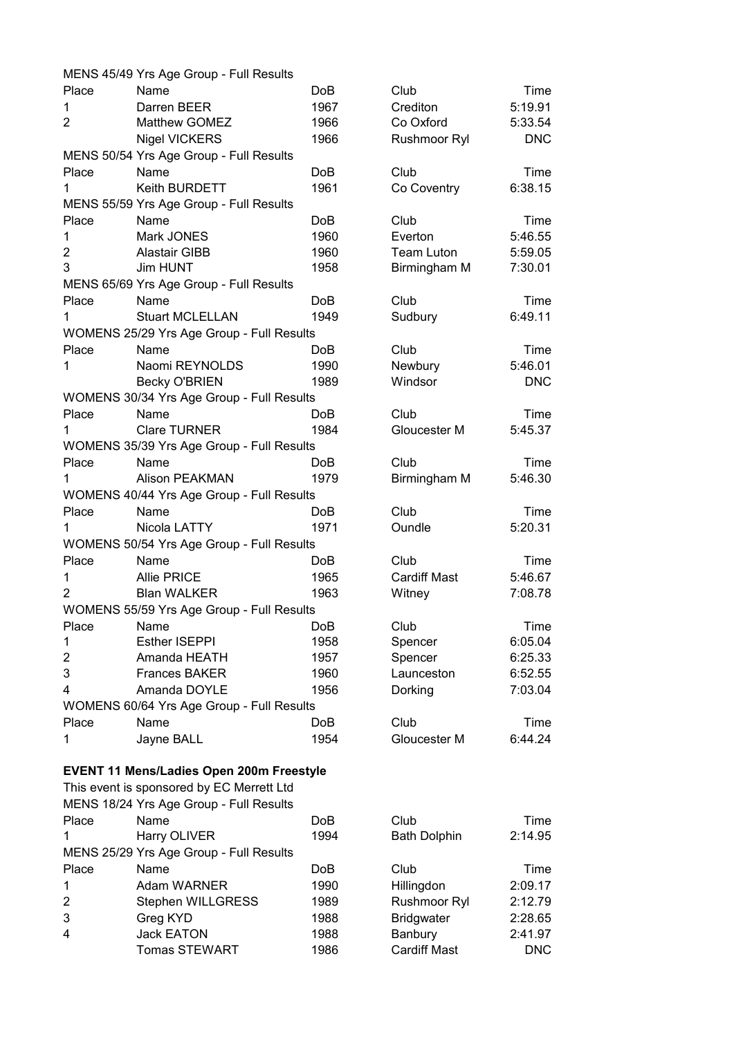|                | MENS 45/49 Yrs Age Group - Full Results         |                 |                     |            |
|----------------|-------------------------------------------------|-----------------|---------------------|------------|
| Place          | Name                                            | <b>DoB</b>      | Club                | Time       |
| 1              | Darren BEER                                     | 1967            | Crediton            | 5:19.91    |
| $\overline{2}$ | Matthew GOMEZ                                   | 1966            | Co Oxford           | 5:33.54    |
|                | <b>Nigel VICKERS</b>                            | 1966            | Rushmoor Ryl        | <b>DNC</b> |
|                | MENS 50/54 Yrs Age Group - Full Results         |                 |                     |            |
| Place          | Name                                            | DoB             | Club                | Time       |
| 1              | Keith BURDETT                                   | 1961            | Co Coventry         | 6:38.15    |
|                | MENS 55/59 Yrs Age Group - Full Results         |                 |                     |            |
| Place          | Name                                            | DoB             | Club                | Time       |
| 1              | Mark JONES                                      | 1960            | Everton             | 5:46.55    |
| $\overline{2}$ | <b>Alastair GIBB</b>                            | 1960            | <b>Team Luton</b>   | 5:59.05    |
| 3              | Jim HUNT                                        | 1958            | Birmingham M        | 7:30.01    |
|                | MENS 65/69 Yrs Age Group - Full Results         |                 |                     |            |
| Place          | Name                                            | DoB             | Club                | Time       |
| 1              | <b>Stuart MCLELLAN</b>                          | 1949            | Sudbury             | 6:49.11    |
|                | WOMENS 25/29 Yrs Age Group - Full Results       |                 |                     |            |
| Place          | Name                                            | DoB             | Club                | Time       |
| 1              | Naomi REYNOLDS                                  | 1990            | Newbury             | 5:46.01    |
|                | <b>Becky O'BRIEN</b>                            | 1989            | Windsor             | <b>DNC</b> |
|                | WOMENS 30/34 Yrs Age Group - Full Results       |                 |                     |            |
| Place          | Name                                            | Do <sub>B</sub> | Club                | Time       |
| 1              | <b>Clare TURNER</b>                             | 1984            | Gloucester M        | 5:45.37    |
|                | WOMENS 35/39 Yrs Age Group - Full Results       |                 |                     |            |
| Place          | Name                                            | Do <sub>B</sub> | Club                | Time       |
| 1              | Alison PEAKMAN                                  | 1979            | Birmingham M        | 5:46.30    |
|                | WOMENS 40/44 Yrs Age Group - Full Results       |                 |                     |            |
| Place          | Name                                            | DoB             | Club                | Time       |
| 1              | Nicola LATTY                                    | 1971            | Oundle              | 5:20.31    |
|                | WOMENS 50/54 Yrs Age Group - Full Results       |                 |                     |            |
| Place          | Name                                            | DoB             | Club                | Time       |
| 1              | <b>Allie PRICE</b>                              | 1965            | <b>Cardiff Mast</b> | 5:46.67    |
| $\overline{2}$ | <b>Blan WALKER</b>                              | 1963            | Witney              | 7:08.78    |
|                | WOMENS 55/59 Yrs Age Group - Full Results       |                 |                     |            |
| Place          | Name                                            | DoB             | Club                | Time       |
| 1              | <b>Esther ISEPPI</b>                            | 1958            |                     | 6:05.04    |
| $\overline{2}$ | Amanda HEATH                                    | 1957            | Spencer<br>Spencer  | 6:25.33    |
| 3              | <b>Frances BAKER</b>                            | 1960            | Launceston          | 6:52.55    |
| 4              | Amanda DOYLE                                    | 1956            | Dorking             | 7:03.04    |
|                | WOMENS 60/64 Yrs Age Group - Full Results       |                 |                     |            |
|                |                                                 |                 |                     | Time       |
| Place          | Name                                            | DoB             | Club                |            |
| 1              | Jayne BALL                                      | 1954            | Gloucester M        | 6:44.24    |
|                |                                                 |                 |                     |            |
|                | <b>EVENT 11 Mens/Ladies Open 200m Freestyle</b> |                 |                     |            |
|                | This event is sponsored by EC Merrett Ltd       |                 |                     |            |
|                | MENS 18/24 Yrs Age Group - Full Results         |                 |                     |            |
| Place          | Name                                            | DoB             | Club                | Time       |
| 1              | Harry OLIVER                                    | 1994            | <b>Bath Dolphin</b> | 2:14.95    |
|                | MENS 25/29 Yrs Age Group - Full Results         |                 |                     |            |
| Place          | Name                                            | DoB             | Club                | Time       |
| 1              | Adam WARNER                                     | 1990            | Hillingdon          | 2:09.17    |
| $\overline{2}$ | Stephen WILLGRESS                               | 1989            | <b>Rushmoor Ryl</b> | 2:12.79    |
| 3              | Greg KYD                                        | 1988            | <b>Bridgwater</b>   | 2:28.65    |
| 4              | <b>Jack EATON</b>                               | 1988            | Banbury             | 2:41.97    |
|                | <b>Tomas STEWART</b>                            | 1986            | <b>Cardiff Mast</b> | <b>DNC</b> |

| Club                | Time       |
|---------------------|------------|
| Crediton            | 5:19.91    |
| Co Oxford           | 5:33.54    |
| <b>Rushmoor Ryl</b> | <b>DNC</b> |
| Club                | Time       |
| Co Coventry         | 6:38.15    |
| Club                | Time       |
| Everton             | 5:46.55    |
| <b>Team Luton</b>   | 5:59.05    |
| Birmingham M        | 7:30.01    |
| Club                | Time       |
| Sudbury             | 6:49.11    |
| Club                | Time       |
| Newbury             | 5:46.01    |
| Windsor             | <b>DNC</b> |
| Club                | Time       |
| Gloucester M        | 5:45.37    |
| Club                | Time       |
| Birmingham M        | 5:46.30    |
| Club                | Time       |
| Oundle              | 5:20.31    |
| Club                | Time       |
| <b>Cardiff Mast</b> | 5:46.67    |
| Witney              | 7:08.78    |
| Club                | Time       |
| Spencer             | 6:05.04    |
| Spencer             | 6:25.33    |
| Launceston          | 6:52.55    |
| Dorking             | 7:03.04    |
| Club                | Time       |
| Gloucester M        | 6:44.24    |
| Club                | Time       |
| <b>Bath Dolphin</b> | 2:14.95    |
| Club                | Time       |
| Hillingdon          | 2:09.17    |
| Rushmoor Ryl        | 2:12.79    |
| <b>Bridgwater</b>   | 2:28.65    |
| <b>Banbury</b>      | 2.4197     |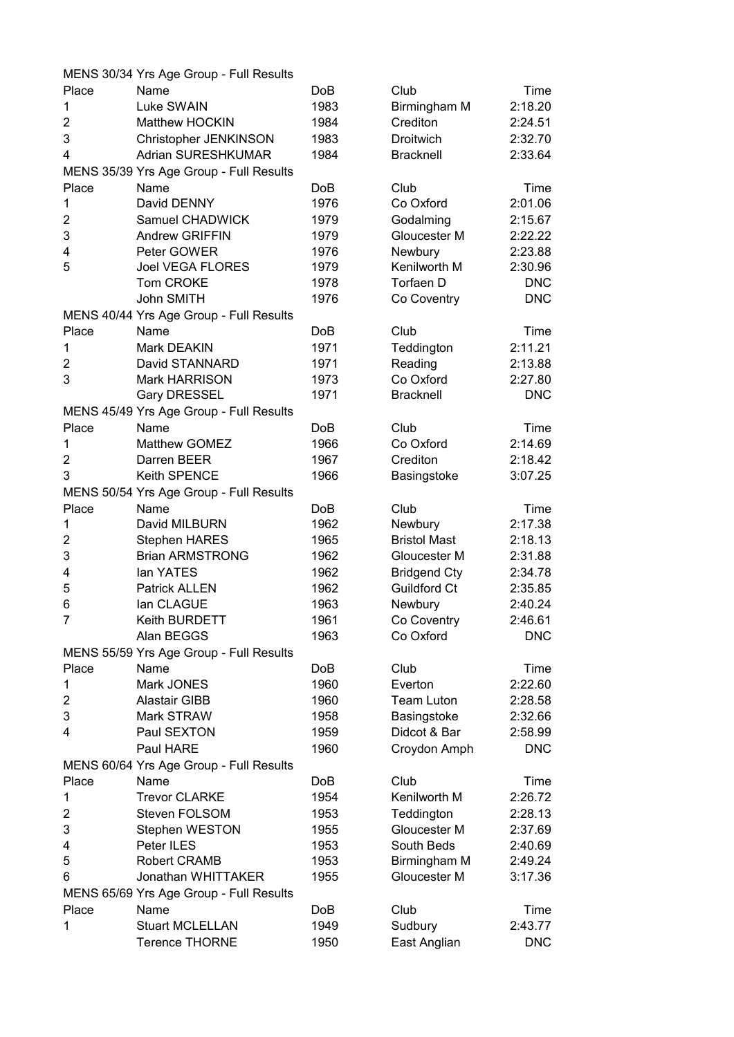|                | MENS 30/34 Yrs Age Group - Full Results |            |                     |            |
|----------------|-----------------------------------------|------------|---------------------|------------|
| Place          | Name                                    | <b>DoB</b> | Club                | Time       |
| 1              | Luke SWAIN                              | 1983       | Birmingham M        | 2:18.20    |
| $\overline{2}$ | <b>Matthew HOCKIN</b>                   | 1984       | Crediton            | 2:24.51    |
| 3              | Christopher JENKINSON                   | 1983       | Droitwich           | 2:32.70    |
| 4              | Adrian SURESHKUMAR                      | 1984       | <b>Bracknell</b>    | 2:33.64    |
|                | MENS 35/39 Yrs Age Group - Full Results |            |                     |            |
| Place          | Name                                    | DoB        | Club                | Time       |
| 1              | David DENNY                             | 1976       | Co Oxford           | 2:01.06    |
| 2              | Samuel CHADWICK                         | 1979       | Godalming           | 2:15.67    |
| 3              | Andrew GRIFFIN                          | 1979       | Gloucester M        | 2:22.22    |
| 4              | Peter GOWER                             | 1976       | Newbury             | 2:23.88    |
| 5              | <b>Joel VEGA FLORES</b>                 | 1979       | Kenilworth M        | 2:30.96    |
|                | Tom CROKE                               | 1978       | Torfaen D           | <b>DNC</b> |
|                | John SMITH                              | 1976       | Co Coventry         | <b>DNC</b> |
|                | MENS 40/44 Yrs Age Group - Full Results |            |                     |            |
| Place          | Name                                    | <b>DoB</b> | Club                | Time       |
| 1              | Mark DEAKIN                             | 1971       | Teddington          | 2:11.21    |
| 2              | David STANNARD                          | 1971       | Reading             | 2:13.88    |
| 3              | Mark HARRISON                           | 1973       | Co Oxford           | 2:27.80    |
|                | <b>Gary DRESSEL</b>                     | 1971       | <b>Bracknell</b>    | <b>DNC</b> |
|                | MENS 45/49 Yrs Age Group - Full Results |            |                     |            |
| Place          | Name                                    | <b>DoB</b> | Club                | Time       |
| 1              | Matthew GOMEZ                           | 1966       | Co Oxford           | 2:14.69    |
| 2              | Darren BEER                             | 1967       | Crediton            | 2:18.42    |
| 3              | Keith SPENCE                            | 1966       | Basingstoke         | 3:07.25    |
|                | MENS 50/54 Yrs Age Group - Full Results |            |                     |            |
| Place          | Name                                    | <b>DoB</b> | Club                | Time       |
| 1              | David MILBURN                           | 1962       | Newbury             | 2:17.38    |
| 2              | <b>Stephen HARES</b>                    | 1965       | <b>Bristol Mast</b> | 2:18.13    |
| 3              | <b>Brian ARMSTRONG</b>                  | 1962       | Gloucester M        | 2:31.88    |
| 4              | lan YATES                               | 1962       | <b>Bridgend Cty</b> | 2:34.78    |
| 5              | <b>Patrick ALLEN</b>                    | 1962       | <b>Guildford Ct</b> | 2:35.85    |
| 6              | lan CLAGUE                              | 1963       | Newbury             | 2:40.24    |
| $\overline{7}$ | Keith BURDETT                           | 1961       | Co Coventry         | 2:46.61    |
|                | Alan BEGGS                              | 1963       | Co Oxford           | <b>DNC</b> |
|                | MENS 55/59 Yrs Age Group - Full Results |            |                     |            |
| Place          | Name                                    | DoB        | Club                | Time       |
| 1              | Mark JONES                              | 1960       | Everton             | 2:22.60    |
| 2              | Alastair GIBB                           | 1960       | <b>Team Luton</b>   | 2:28.58    |
| 3              | Mark STRAW                              | 1958       | Basingstoke         | 2:32.66    |
| 4              | Paul SEXTON                             | 1959       | Didcot & Bar        | 2:58.99    |
|                | Paul HARE                               | 1960       | Croydon Amph        | <b>DNC</b> |
|                | MENS 60/64 Yrs Age Group - Full Results |            |                     |            |
| Place          | Name                                    | DoB        | Club                | Time       |
| 1              | <b>Trevor CLARKE</b>                    | 1954       | Kenilworth M        | 2:26.72    |
| 2              | Steven FOLSOM                           | 1953       | Teddington          | 2:28.13    |
| 3              | Stephen WESTON                          | 1955       | Gloucester M        | 2:37.69    |
| 4              | Peter ILES                              | 1953       | South Beds          | 2:40.69    |
| 5              | Robert CRAMB                            | 1953       | Birmingham M        | 2:49.24    |
| 6              | Jonathan WHITTAKER                      | 1955       | Gloucester M        | 3:17.36    |
|                | MENS 65/69 Yrs Age Group - Full Results |            |                     |            |
| Place          | Name                                    | DoB        | Club                | Time       |
| 1              | <b>Stuart MCLELLAN</b>                  | 1949       | Sudbury             | 2:43.77    |
|                | <b>Terence THORNE</b>                   | 1950       | East Anglian        | <b>DNC</b> |
|                |                                         |            |                     |            |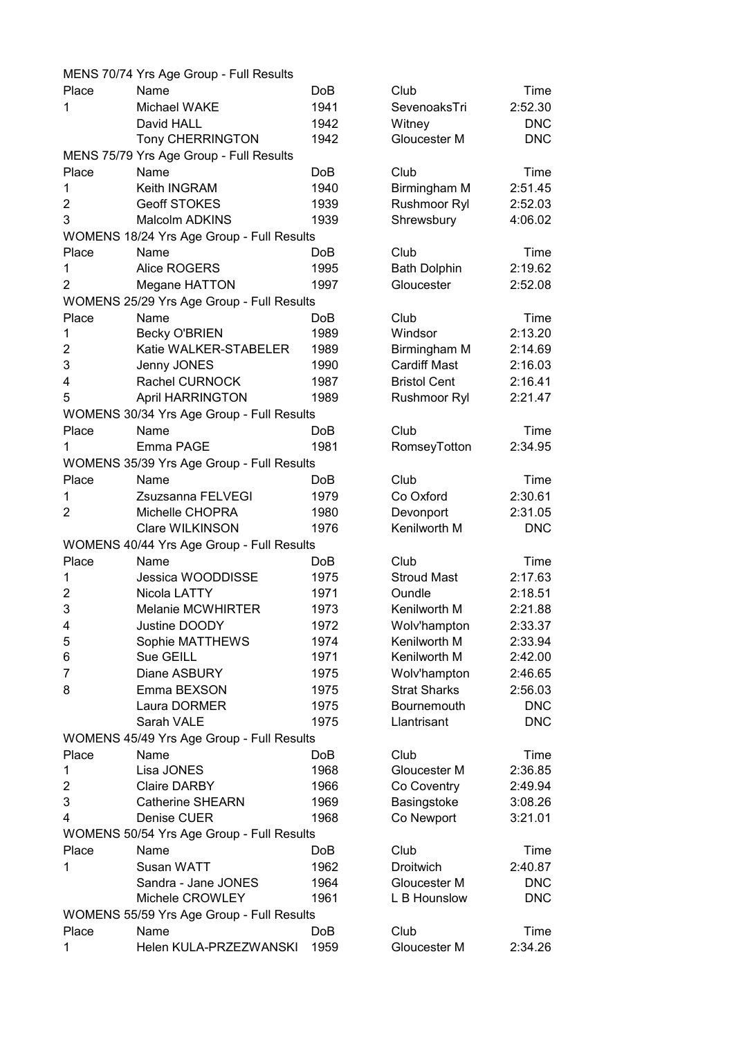|                | MENS 70/74 Yrs Age Group - Full Results   |                 |                     |            |
|----------------|-------------------------------------------|-----------------|---------------------|------------|
| Place          | Name                                      | DoB             | Club                | Time       |
| 1              | Michael WAKE                              | 1941            | SevenoaksTri        | 2:52.30    |
|                | David HALL                                | 1942            | Witney              | <b>DNC</b> |
|                | <b>Tony CHERRINGTON</b>                   | 1942            | Gloucester M        | <b>DNC</b> |
|                | MENS 75/79 Yrs Age Group - Full Results   |                 |                     |            |
| Place          | Name                                      | DoB             | Club                | Time       |
| 1              | Keith INGRAM                              | 1940            | Birmingham M        | 2:51.45    |
| $\overline{2}$ | <b>Geoff STOKES</b>                       | 1939            | Rushmoor Ryl        | 2:52.03    |
| 3              | Malcolm ADKINS                            | 1939            | Shrewsbury          | 4:06.02    |
|                | WOMENS 18/24 Yrs Age Group - Full Results |                 |                     |            |
| Place          | Name                                      | <b>DoB</b>      | Club                | Time       |
| 1              | Alice ROGERS                              | 1995            | <b>Bath Dolphin</b> | 2:19.62    |
| $\overline{2}$ | Megane HATTON                             | 1997            | Gloucester          | 2:52.08    |
|                | WOMENS 25/29 Yrs Age Group - Full Results |                 |                     |            |
| Place          | Name                                      | DoB             | Club                | Time       |
| 1              | <b>Becky O'BRIEN</b>                      | 1989            | Windsor             | 2:13.20    |
| 2              | Katie WALKER-STABELER                     | 1989            | Birmingham M        | 2:14.69    |
| 3              | Jenny JONES                               | 1990            | <b>Cardiff Mast</b> | 2:16.03    |
| 4              | <b>Rachel CURNOCK</b>                     | 1987            | <b>Bristol Cent</b> | 2:16.41    |
| 5              | <b>April HARRINGTON</b>                   | 1989            | Rushmoor Ryl        | 2:21.47    |
|                | WOMENS 30/34 Yrs Age Group - Full Results |                 |                     |            |
| Place          | Name                                      | <b>DoB</b>      | Club                | Time       |
| 1              | Emma PAGE                                 | 1981            | RomseyTotton        | 2:34.95    |
|                | WOMENS 35/39 Yrs Age Group - Full Results |                 |                     |            |
| Place          | Name                                      | DoB             | Club                | Time       |
| 1              | Zsuzsanna FELVEGI                         | 1979            | Co Oxford           | 2:30.61    |
| 2              | Michelle CHOPRA                           | 1980            | Devonport           | 2:31.05    |
|                | <b>Clare WILKINSON</b>                    | 1976            | Kenilworth M        | <b>DNC</b> |
|                | WOMENS 40/44 Yrs Age Group - Full Results |                 |                     |            |
| Place          | Name                                      | DoB             | Club                | Time       |
| 1              | Jessica WOODDISSE                         | 1975            | <b>Stroud Mast</b>  | 2:17.63    |
| 2              | Nicola LATTY                              | 1971            | Oundle              | 2:18.51    |
| 3              | <b>Melanie MCWHIRTER</b>                  | 1973            | Kenilworth M        | 2:21.88    |
| 4              | Justine DOODY                             | 1972            | Wolv'hampton        | 2:33.37    |
| 5              | Sophie MATTHEWS                           | 1974            | Kenilworth M        | 2:33.94    |
| 6              | Sue GEILL                                 | 1971            | Kenilworth M        | 2:42.00    |
| 7              | Diane ASBURY                              | 1975            | Wolv'hampton        | 2:46.65    |
| 8              | Emma BEXSON                               | 1975            | <b>Strat Sharks</b> | 2:56.03    |
|                | Laura DORMER                              | 1975            | Bournemouth         | <b>DNC</b> |
|                | Sarah VALE                                | 1975            | Llantrisant         | <b>DNC</b> |
|                | WOMENS 45/49 Yrs Age Group - Full Results |                 |                     |            |
| Place          | Name                                      | DoB             | Club                | Time       |
| 1              | Lisa JONES                                | 1968            | Gloucester M        | 2:36.85    |
| 2              | <b>Claire DARBY</b>                       | 1966            | Co Coventry         | 2:49.94    |
| 3              | <b>Catherine SHEARN</b>                   | 1969            | Basingstoke         | 3:08.26    |
| 4              | Denise CUER                               | 1968            | Co Newport          | 3:21.01    |
|                | WOMENS 50/54 Yrs Age Group - Full Results |                 |                     |            |
| Place          | Name                                      | Do <sub>B</sub> | Club                | Time       |
| 1              | Susan WATT                                | 1962            | Droitwich           | 2:40.87    |
|                | Sandra - Jane JONES                       | 1964            | Gloucester M        | <b>DNC</b> |
|                | Michele CROWLEY                           | 1961            | L B Hounslow        | <b>DNC</b> |
|                | WOMENS 55/59 Yrs Age Group - Full Results |                 |                     |            |
| Place          | Name                                      | DoB             | Club                | Time       |
| 1              | Helen KULA-PRZEZWANSKI                    | 1959            | Gloucester M        | 2:34.26    |

| Club                | Time       |
|---------------------|------------|
| SevenoaksTri        | 2:52.30    |
| Witney              | <b>DNC</b> |
| Gloucester M        | <b>DNC</b> |
| Club                | Time       |
| Birmingham M        | 2:51.45    |
| Rushmoor Ryl        | 2:52.03    |
| Shrewsbury          | 4:06.02    |
| Club                | Time       |
| <b>Bath Dolphin</b> | 2:19.62    |
| Gloucester          | 2:52.08    |
| Club                | Time       |
| Windsor             | 2:13.20    |
| Birmingham M        | 2:14.69    |
| <b>Cardiff Mast</b> | 2:16.03    |
| <b>Bristol Cent</b> | 2:16.41    |
| Rushmoor Ryl        | 2:21.47    |
| Club                | Time       |
| RomseyTotton        | 2:34.95    |
| Club                | Time       |
| Co Oxford           | 2:30.61    |
| Devonport           | 2:31.05    |
| Kenilworth M        | <b>DNC</b> |
| Club                | Time       |
| <b>Stroud Mast</b>  | 2:17.63    |
| Oundle              | 2:18.51    |
| Kenilworth M        | 2:21.88    |
| Wolv'hampton        | 2:33.37    |
| Kenilworth M        | 2:33.94    |
| Kenilworth M        | 2:42.00    |
| Wolv'hampton        | 2:46.65    |
| <b>Strat Sharks</b> | 2:56.03    |
| Bournemouth         | <b>DNC</b> |
| Llantrisant         | <b>DNC</b> |
| Club                | Time       |
| Gloucester M        | 2:36.85    |
| Co Coventry         | 2:49.94    |
| Basingstoke         | 3:08.26    |
| Co Newport          | 3:21.01    |
| Club                | Time       |
| Droitwich           | 2:40.87    |
| Gloucester M        | <b>DNC</b> |
| L B Hounslow        | DNC        |
| Club                | Time       |
| Gloucester M        | 2:34.26    |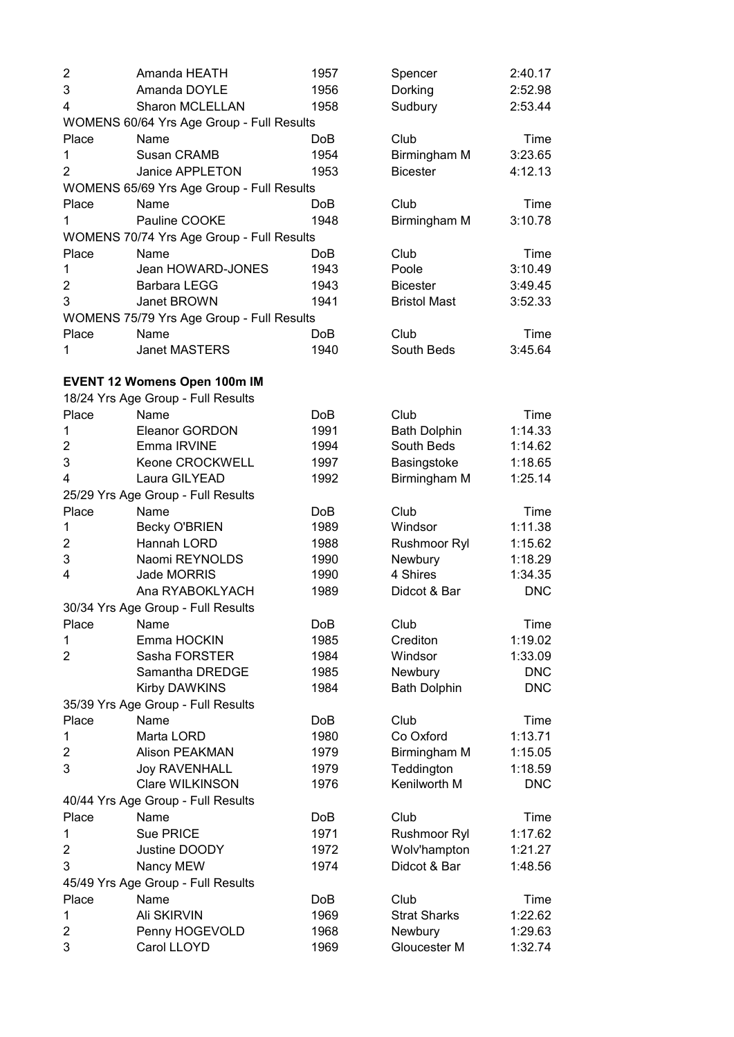| 2                   | Amanda HEATH                              | 1957            | Spencer                    | 2:40.17               |
|---------------------|-------------------------------------------|-----------------|----------------------------|-----------------------|
| 3                   | Amanda DOYLE                              | 1956            | Dorking                    | 2:52.98               |
| 4                   | Sharon MCLELLAN                           | 1958            | Sudbury                    | 2:53.44               |
|                     | WOMENS 60/64 Yrs Age Group - Full Results |                 |                            |                       |
| Place               | Name                                      | <b>DoB</b>      | Club                       | Time                  |
| 1                   | Susan CRAMB                               | 1954            | Birmingham M               | 3:23.65               |
| 2                   | Janice APPLETON                           | 1953            | <b>Bicester</b>            | 4:12.13               |
|                     | WOMENS 65/69 Yrs Age Group - Full Results |                 |                            |                       |
| Place               | Name                                      | <b>DoB</b>      | Club                       | Time                  |
| 1                   | Pauline COOKE                             | 1948            | Birmingham M               | 3:10.78               |
|                     | WOMENS 70/74 Yrs Age Group - Full Results |                 |                            |                       |
| Place               | Name                                      | <b>DoB</b>      | Club                       | Time                  |
| 1                   | Jean HOWARD-JONES                         | 1943            | Poole                      | 3:10.49               |
| $\overline{2}$      | Barbara LEGG                              | 1943            | <b>Bicester</b>            | 3:49.45               |
| 3                   | Janet BROWN                               | 1941            | <b>Bristol Mast</b>        | 3:52.33               |
|                     | WOMENS 75/79 Yrs Age Group - Full Results |                 |                            |                       |
| Place               | Name                                      | Do <sub>B</sub> | Club                       | Time                  |
| 1                   | <b>Janet MASTERS</b>                      | 1940            | South Beds                 | 3:45.64               |
|                     |                                           |                 |                            |                       |
|                     | <b>EVENT 12 Womens Open 100m IM</b>       |                 |                            |                       |
|                     | 18/24 Yrs Age Group - Full Results        |                 |                            |                       |
| Place               | <b>Name</b>                               | <b>DoB</b>      | Club                       | Time                  |
| 1                   | Eleanor GORDON                            | 1991            | <b>Bath Dolphin</b>        | 1:14.33               |
| $\overline{2}$      | Emma IRVINE                               | 1994            | South Beds                 | 1:14.62               |
| 3                   | Keone CROCKWELL                           | 1997            | Basingstoke                | 1:18.65               |
| 4                   | Laura GILYEAD                             | 1992            | Birmingham M               | 1:25.14               |
|                     | 25/29 Yrs Age Group - Full Results        |                 |                            |                       |
| Place               | Name                                      | <b>DoB</b>      | Club                       | Time                  |
| 1                   | <b>Becky O'BRIEN</b>                      | 1989            | Windsor                    | 1:11.38               |
| 2                   | Hannah LORD                               | 1988            | Rushmoor Ryl               | 1:15.62               |
| 3                   | Naomi REYNOLDS                            | 1990            | Newbury                    | 1:18.29               |
| 4                   | Jade MORRIS                               | 1990            | 4 Shires                   | 1:34.35               |
|                     | Ana RYABOKLYACH                           | 1989            | Didcot & Bar               | <b>DNC</b>            |
|                     | 30/34 Yrs Age Group - Full Results        |                 |                            |                       |
| Place               |                                           |                 | Club                       |                       |
|                     | Name<br>Emma HOCKIN                       | DoB             | Crediton                   | Time                  |
| 1<br>$\overline{2}$ | Sasha FORSTER                             | 1985<br>1984    |                            | 1:19.02               |
|                     |                                           |                 | Windsor                    | 1:33.09<br><b>DNC</b> |
|                     | Samantha DREDGE                           | 1985<br>1984    | Newbury                    | <b>DNC</b>            |
|                     | <b>Kirby DAWKINS</b>                      |                 | <b>Bath Dolphin</b>        |                       |
|                     | 35/39 Yrs Age Group - Full Results        |                 |                            |                       |
| Place<br>1          | Name                                      | DoB             | Club<br>Co Oxford          | Time<br>1:13.71       |
| $\overline{2}$      | Marta LORD<br><b>Alison PEAKMAN</b>       | 1980            |                            |                       |
|                     |                                           | 1979            | Birmingham M<br>Teddington | 1:15.05               |
| 3                   | <b>Joy RAVENHALL</b>                      | 1979            | Kenilworth M               | 1:18.59               |
|                     | Clare WILKINSON                           | 1976            |                            | <b>DNC</b>            |
|                     | 40/44 Yrs Age Group - Full Results        |                 |                            |                       |
| Place               | Name                                      | DoB             | Club                       | Time                  |
| 1                   | Sue PRICE                                 | 1971            | Rushmoor Ryl               | 1:17.62               |
| 2                   | Justine DOODY                             | 1972            | Wolv'hampton               | 1:21.27               |
| 3                   | Nancy MEW                                 | 1974            | Didcot & Bar               | 1:48.56               |
|                     | 45/49 Yrs Age Group - Full Results        |                 |                            |                       |
| Place               | Name                                      | DoB             | Club                       | Time                  |
| 1                   | Ali SKIRVIN                               | 1969            | <b>Strat Sharks</b>        | 1:22.62               |
| 2                   | Penny HOGEVOLD                            | 1968            | Newbury                    | 1:29.63               |
| 3                   | Carol LLOYD                               | 1969            | Gloucester M               | 1:32.74               |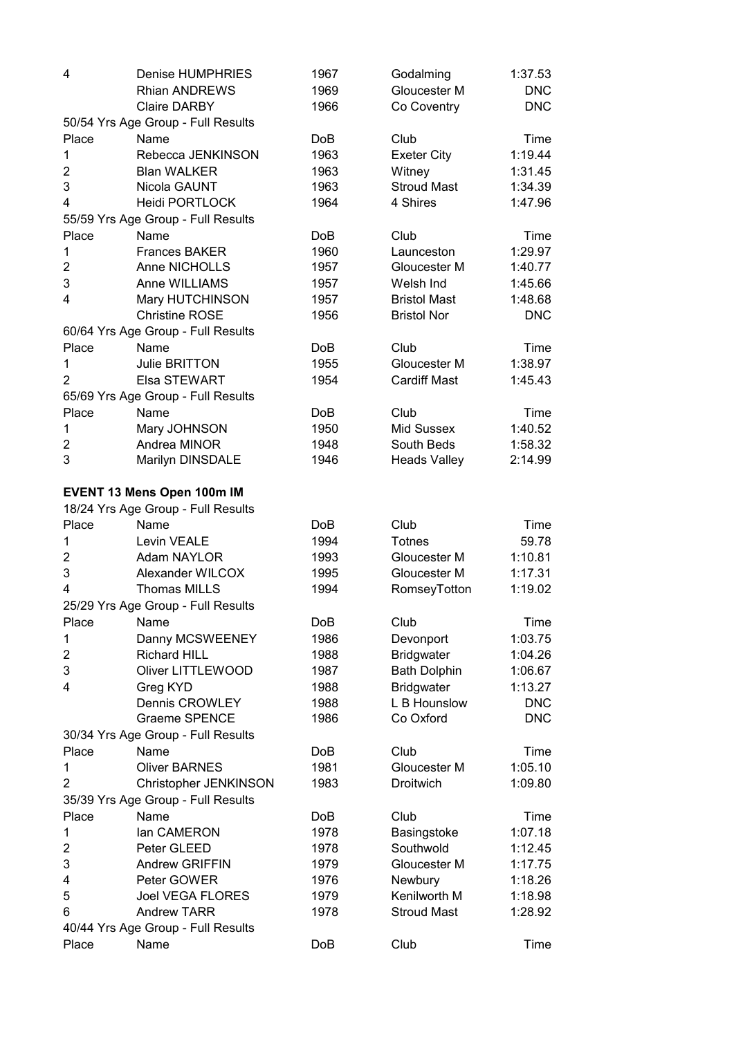| 4              | Denise HUMPHRIES                   | 1967            | Godalming           | 1:37.53    |
|----------------|------------------------------------|-----------------|---------------------|------------|
|                | <b>Rhian ANDREWS</b>               | 1969            | Gloucester M        | <b>DNC</b> |
|                | <b>Claire DARBY</b>                | 1966            | Co Coventry         | <b>DNC</b> |
|                | 50/54 Yrs Age Group - Full Results |                 |                     |            |
| Place          | Name                               | <b>DoB</b>      | Club                | Time       |
| 1              | Rebecca JENKINSON                  | 1963            | <b>Exeter City</b>  | 1:19.44    |
| 2              | <b>Blan WALKER</b>                 | 1963            | Witney              | 1:31.45    |
| 3              | Nicola GAUNT                       | 1963            | <b>Stroud Mast</b>  | 1:34.39    |
| 4              | Heidi PORTLOCK                     | 1964            | 4 Shires            | 1:47.96    |
|                | 55/59 Yrs Age Group - Full Results |                 |                     |            |
| Place          | Name                               | DoB             | Club                | Time       |
| 1              | <b>Frances BAKER</b>               | 1960            | Launceston          | 1:29.97    |
| $\overline{2}$ | Anne NICHOLLS                      | 1957            | Gloucester M        | 1:40.77    |
| 3              | Anne WILLIAMS                      | 1957            | Welsh Ind           | 1:45.66    |
| 4              | Mary HUTCHINSON                    | 1957            | <b>Bristol Mast</b> | 1:48.68    |
|                | <b>Christine ROSE</b>              | 1956            | <b>Bristol Nor</b>  | <b>DNC</b> |
|                | 60/64 Yrs Age Group - Full Results |                 |                     |            |
| Place          | Name                               | <b>DoB</b>      | Club                | Time       |
| 1              | Julie BRITTON                      | 1955            | Gloucester M        | 1:38.97    |
|                |                                    |                 |                     |            |
| $\overline{2}$ | Elsa STEWART                       | 1954            | <b>Cardiff Mast</b> | 1:45.43    |
|                | 65/69 Yrs Age Group - Full Results |                 |                     |            |
| Place          | Name                               | Do <sub>B</sub> | Club                | Time       |
| 1              | Mary JOHNSON                       | 1950            | Mid Sussex          | 1:40.52    |
| $\overline{2}$ | Andrea MINOR                       | 1948            | South Beds          | 1:58.32    |
| 3              | Marilyn DINSDALE                   | 1946            | <b>Heads Valley</b> | 2:14.99    |
|                |                                    |                 |                     |            |
|                | <b>EVENT 13 Mens Open 100m IM</b>  |                 |                     |            |
|                | 18/24 Yrs Age Group - Full Results |                 |                     |            |
| Place          | Name                               | DoB             | Club                | Time       |
| 1              | Levin VEALE                        | 1994            | <b>Totnes</b>       | 59.78      |
| 2              | Adam NAYLOR                        | 1993            | Gloucester M        | 1:10.81    |
| 3              | Alexander WILCOX                   | 1995            | Gloucester M        | 1:17.31    |
| 4              | <b>Thomas MILLS</b>                | 1994            | RomseyTotton        | 1:19.02    |
|                | 25/29 Yrs Age Group - Full Results |                 |                     |            |
| Place          | Name                               | DoB             | Club                | Time       |
| 1              | Danny MCSWEENEY                    | 1986            | Devonport           | 1:03.75    |
| 2              | <b>Richard HILL</b>                | 1988            | <b>Bridgwater</b>   | 1:04.26    |
| 3              | Oliver LITTLEWOOD                  | 1987            | <b>Bath Dolphin</b> | 1:06.67    |
| 4              | Greg KYD                           | 1988            | <b>Bridgwater</b>   | 1:13.27    |
|                | <b>Dennis CROWLEY</b>              | 1988            | L B Hounslow        | <b>DNC</b> |
|                | Graeme SPENCE                      | 1986            | Co Oxford           | <b>DNC</b> |
|                | 30/34 Yrs Age Group - Full Results |                 |                     |            |
| Place          | Name                               | DoB             | Club                | Time       |
| 1              | <b>Oliver BARNES</b>               | 1981            | Gloucester M        | 1:05.10    |
| 2              | Christopher JENKINSON              | 1983            | Droitwich           | 1:09.80    |
|                | 35/39 Yrs Age Group - Full Results |                 |                     |            |
| Place          | Name                               | DoB             | Club                | Time       |
| 1              | lan CAMERON                        | 1978            | Basingstoke         | 1:07.18    |
| 2              | Peter GLEED                        | 1978            | Southwold           | 1:12.45    |
| 3              | Andrew GRIFFIN                     | 1979            | Gloucester M        | 1:17.75    |
| 4              | Peter GOWER                        | 1976            | Newbury             | 1:18.26    |
| 5              | <b>Joel VEGA FLORES</b>            | 1979            | Kenilworth M        | 1:18.98    |
| 6              | <b>Andrew TARR</b>                 | 1978            | <b>Stroud Mast</b>  | 1:28.92    |
|                |                                    |                 |                     |            |
|                | 40/44 Yrs Age Group - Full Results |                 |                     |            |
| Place          | Name                               | DoB             | Club                | Time       |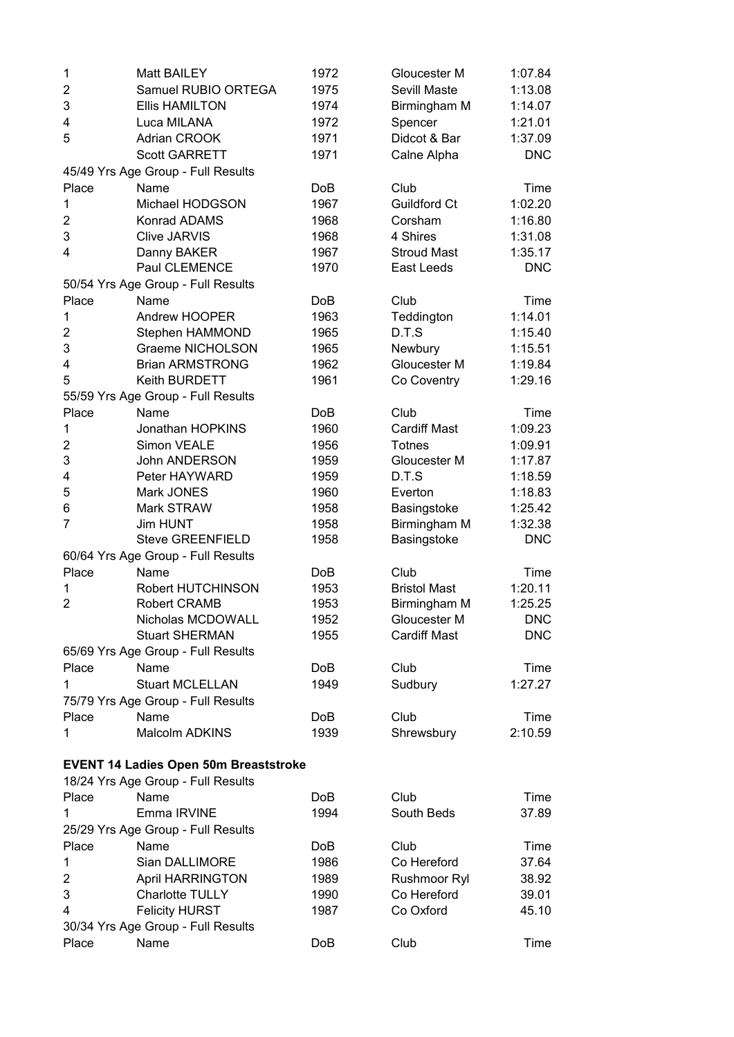| $\mathbf 1$             | <b>Matt BAILEY</b>                           | 1972 | Gloucester M        | 1:07.84    |
|-------------------------|----------------------------------------------|------|---------------------|------------|
| $\overline{\mathbf{c}}$ | Samuel RUBIO ORTEGA                          | 1975 | Sevill Maste        | 1:13.08    |
| 3                       | <b>Ellis HAMILTON</b>                        | 1974 | Birmingham M        | 1:14.07    |
| 4                       | Luca MILANA                                  | 1972 | Spencer             | 1:21.01    |
| 5                       | Adrian CROOK                                 | 1971 | Didcot & Bar        | 1:37.09    |
|                         | <b>Scott GARRETT</b>                         | 1971 | Calne Alpha         | <b>DNC</b> |
|                         | 45/49 Yrs Age Group - Full Results           |      |                     |            |
| Place                   | Name                                         | DoB  | Club                | Time       |
| 1                       | Michael HODGSON                              | 1967 | <b>Guildford Ct</b> | 1:02.20    |
| $\overline{\mathbf{c}}$ | Konrad ADAMS                                 | 1968 | Corsham             | 1:16.80    |
| 3                       | <b>Clive JARVIS</b>                          | 1968 | 4 Shires            | 1:31.08    |
| 4                       | Danny BAKER                                  | 1967 | <b>Stroud Mast</b>  | 1:35.17    |
|                         | Paul CLEMENCE                                | 1970 | East Leeds          | <b>DNC</b> |
|                         | 50/54 Yrs Age Group - Full Results           |      |                     |            |
| Place                   | Name                                         | DoB  | Club                | Time       |
| 1                       | Andrew HOOPER                                | 1963 | Teddington          | 1:14.01    |
| 2                       | Stephen HAMMOND                              | 1965 | D.T.S               | 1:15.40    |
| 3                       | Graeme NICHOLSON                             | 1965 | Newbury             | 1:15.51    |
| 4                       | <b>Brian ARMSTRONG</b>                       | 1962 | Gloucester M        | 1:19.84    |
| 5                       | Keith BURDETT                                | 1961 | Co Coventry         | 1:29.16    |
|                         |                                              |      |                     |            |
|                         | 55/59 Yrs Age Group - Full Results           |      |                     |            |
| Place                   | Name                                         | DoB  | Club                | Time       |
| 1                       | Jonathan HOPKINS                             | 1960 | <b>Cardiff Mast</b> | 1:09.23    |
| $\overline{2}$          | Simon VEALE                                  | 1956 | <b>Totnes</b>       | 1:09.91    |
| 3                       | John ANDERSON                                | 1959 | Gloucester M        | 1:17.87    |
| 4                       | Peter HAYWARD                                | 1959 | D.T.S               | 1:18.59    |
| 5                       | Mark JONES                                   | 1960 | Everton             | 1:18.83    |
| 6                       | Mark STRAW                                   | 1958 | Basingstoke         | 1:25.42    |
| 7                       | Jim HUNT                                     | 1958 | Birmingham M        | 1:32.38    |
|                         | <b>Steve GREENFIELD</b>                      | 1958 | Basingstoke         | <b>DNC</b> |
|                         | 60/64 Yrs Age Group - Full Results           |      |                     |            |
| Place                   | Name                                         | DoB  | Club                | Time       |
| 1                       | Robert HUTCHINSON                            | 1953 | <b>Bristol Mast</b> | 1:20.11    |
| $\overline{2}$          | <b>Robert CRAMB</b>                          | 1953 | Birmingham M        | 1:25.25    |
|                         | Nicholas MCDOWALL                            | 1952 | Gloucester M        | <b>DNC</b> |
|                         | <b>Stuart SHERMAN</b>                        | 1955 | <b>Cardiff Mast</b> | <b>DNC</b> |
|                         | 65/69 Yrs Age Group - Full Results           |      |                     |            |
| Place                   | Name                                         | DoB  | Club                | Time       |
| 1                       | <b>Stuart MCLELLAN</b>                       | 1949 | Sudbury             | 1:27.27    |
|                         | 75/79 Yrs Age Group - Full Results           |      |                     |            |
| Place                   | Name                                         | DoB  | Club                | Time       |
| 1                       | Malcolm ADKINS                               | 1939 | Shrewsbury          | 2:10.59    |
|                         | <b>EVENT 14 Ladies Open 50m Breaststroke</b> |      |                     |            |
|                         | 18/24 Yrs Age Group - Full Results           |      |                     |            |
| Place                   | Name                                         | DoB  | Club                | Time       |
| 1                       | Emma IRVINE                                  | 1994 | South Beds          | 37.89      |
|                         | 25/29 Yrs Age Group - Full Results           |      |                     |            |
| Place                   | Name                                         | DoB  | Club                | Time       |
| 1                       | Sian DALLIMORE                               | 1986 | Co Hereford         | 37.64      |
| $\overline{\mathbf{c}}$ | <b>April HARRINGTON</b>                      | 1989 | Rushmoor Ryl        | 38.92      |
| 3                       | <b>Charlotte TULLY</b>                       | 1990 | Co Hereford         | 39.01      |
|                         |                                              | 1987 |                     | 45.10      |
| 4                       | <b>Felicity HURST</b>                        |      | Co Oxford           |            |
|                         | 30/34 Yrs Age Group - Full Results           |      |                     |            |
| Place                   | Name                                         | DoB  | Club                | Time       |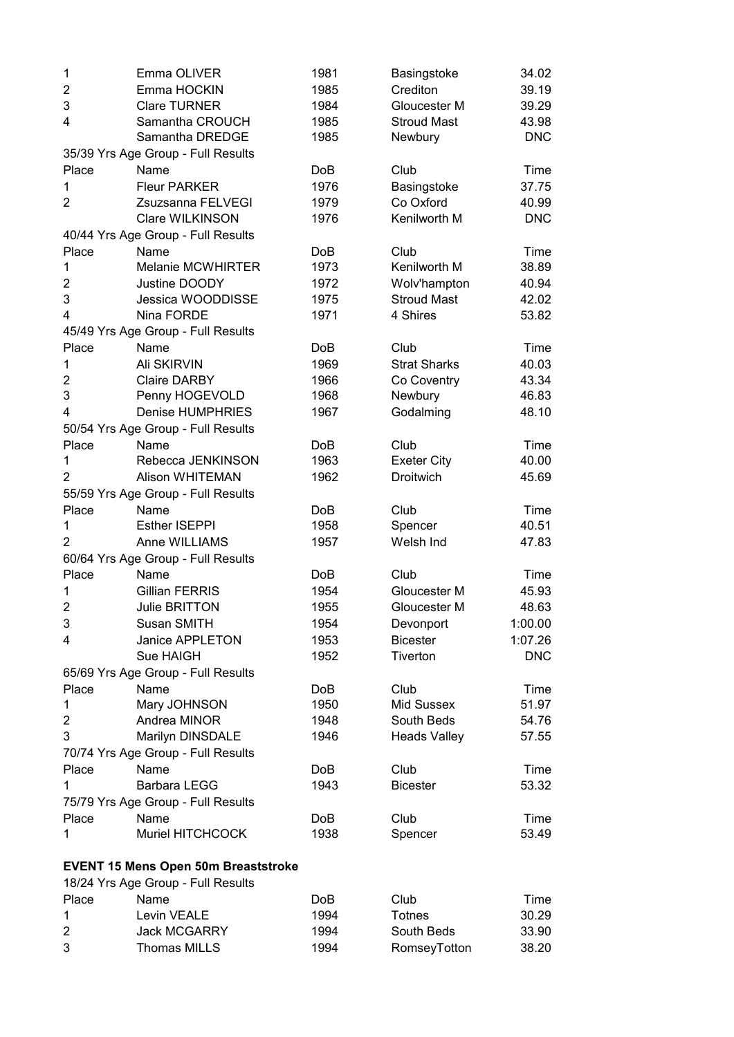| 1                       | Emma OLIVER                                | 1981 | Basingstoke         | 34.02      |
|-------------------------|--------------------------------------------|------|---------------------|------------|
| $\overline{\mathbf{c}}$ | Emma HOCKIN                                | 1985 | Crediton            | 39.19      |
| 3                       | <b>Clare TURNER</b>                        | 1984 | Gloucester M        | 39.29      |
| 4                       | Samantha CROUCH                            | 1985 | <b>Stroud Mast</b>  | 43.98      |
|                         | Samantha DREDGE                            | 1985 | Newbury             | <b>DNC</b> |
|                         | 35/39 Yrs Age Group - Full Results         |      |                     |            |
| Place                   | Name                                       | DoB  | Club                | Time       |
| 1                       | <b>Fleur PARKER</b>                        | 1976 | Basingstoke         | 37.75      |
| $\overline{2}$          | Zsuzsanna FELVEGI                          | 1979 | Co Oxford           | 40.99      |
|                         | Clare WILKINSON                            | 1976 | Kenilworth M        | <b>DNC</b> |
|                         | 40/44 Yrs Age Group - Full Results         |      |                     |            |
| Place                   | Name                                       | DoB  | Club                | Time       |
| 1                       | <b>Melanie MCWHIRTER</b>                   | 1973 | Kenilworth M        | 38.89      |
| $\overline{2}$          | Justine DOODY                              | 1972 | Wolv'hampton        | 40.94      |
| 3                       | Jessica WOODDISSE                          | 1975 | <b>Stroud Mast</b>  | 42.02      |
| 4                       | Nina FORDE                                 | 1971 | 4 Shires            | 53.82      |
|                         | 45/49 Yrs Age Group - Full Results         |      |                     |            |
| Place                   | Name                                       | DoB  | Club                | Time       |
| 1                       | Ali SKIRVIN                                | 1969 | <b>Strat Sharks</b> | 40.03      |
| 2                       | <b>Claire DARBY</b>                        | 1966 | Co Coventry         | 43.34      |
| 3                       | Penny HOGEVOLD                             | 1968 | Newbury             | 46.83      |
| 4                       | <b>Denise HUMPHRIES</b>                    | 1967 | Godalming           | 48.10      |
|                         | 50/54 Yrs Age Group - Full Results         |      |                     |            |
| Place                   | Name                                       | DoB  | Club                | Time       |
| 1                       | Rebecca JENKINSON                          | 1963 | <b>Exeter City</b>  | 40.00      |
| $\overline{2}$          | <b>Alison WHITEMAN</b>                     | 1962 | Droitwich           | 45.69      |
|                         | 55/59 Yrs Age Group - Full Results         |      |                     |            |
| Place                   | Name                                       | DoB  | Club                | Time       |
| 1                       | <b>Esther ISEPPI</b>                       | 1958 | Spencer             | 40.51      |
|                         | Anne WILLIAMS                              |      | Welsh Ind           |            |
| 2                       |                                            | 1957 |                     | 47.83      |
|                         | 60/64 Yrs Age Group - Full Results         |      |                     |            |
| Place                   | Name                                       | DoB  | Club                | Time       |
| 1                       | Gillian FERRIS                             | 1954 | Gloucester M        | 45.93      |
| $\overline{2}$          | Julie BRITTON                              | 1955 | Gloucester M        | 48.63      |
| 3                       | Susan SMITH                                | 1954 | Devonport           | 1:00.00    |
| 4                       | Janice APPLETON                            | 1953 | <b>Bicester</b>     | 1:07.26    |
|                         | Sue HAIGH                                  | 1952 | Tiverton            | <b>DNC</b> |
|                         | 65/69 Yrs Age Group - Full Results         |      |                     |            |
| Place                   | Name                                       | DoB  | Club                | Time       |
| 1                       | Mary JOHNSON                               | 1950 | Mid Sussex          | 51.97      |
| $\overline{2}$          | Andrea MINOR                               | 1948 | South Beds          | 54.76      |
| 3                       | Marilyn DINSDALE                           | 1946 | <b>Heads Valley</b> | 57.55      |
|                         | 70/74 Yrs Age Group - Full Results         |      |                     |            |
| Place                   | Name                                       | DoB  | Club                | Time       |
| 1                       | <b>Barbara LEGG</b>                        | 1943 | <b>Bicester</b>     | 53.32      |
|                         | 75/79 Yrs Age Group - Full Results         |      |                     |            |
| Place                   | Name                                       | DoB  | Club                | Time       |
| 1                       | Muriel HITCHCOCK                           | 1938 | Spencer             | 53.49      |
|                         |                                            |      |                     |            |
|                         | <b>EVENT 15 Mens Open 50m Breaststroke</b> |      |                     |            |
|                         | 18/24 Yrs Age Group - Full Results         |      |                     |            |
| Place                   | Name                                       | DoB  | Club                | Time       |
| 1                       | Levin VEALE                                | 1994 | <b>Totnes</b>       | 30.29      |
| $\overline{2}$          | <b>Jack MCGARRY</b>                        | 1994 | South Beds          | 33.90      |

Thomas MILLS **1994** RomseyTotton 38.20

RomseyTotton

2 Jack MCGARRY 1994<br>3 Thomas MILLS 1994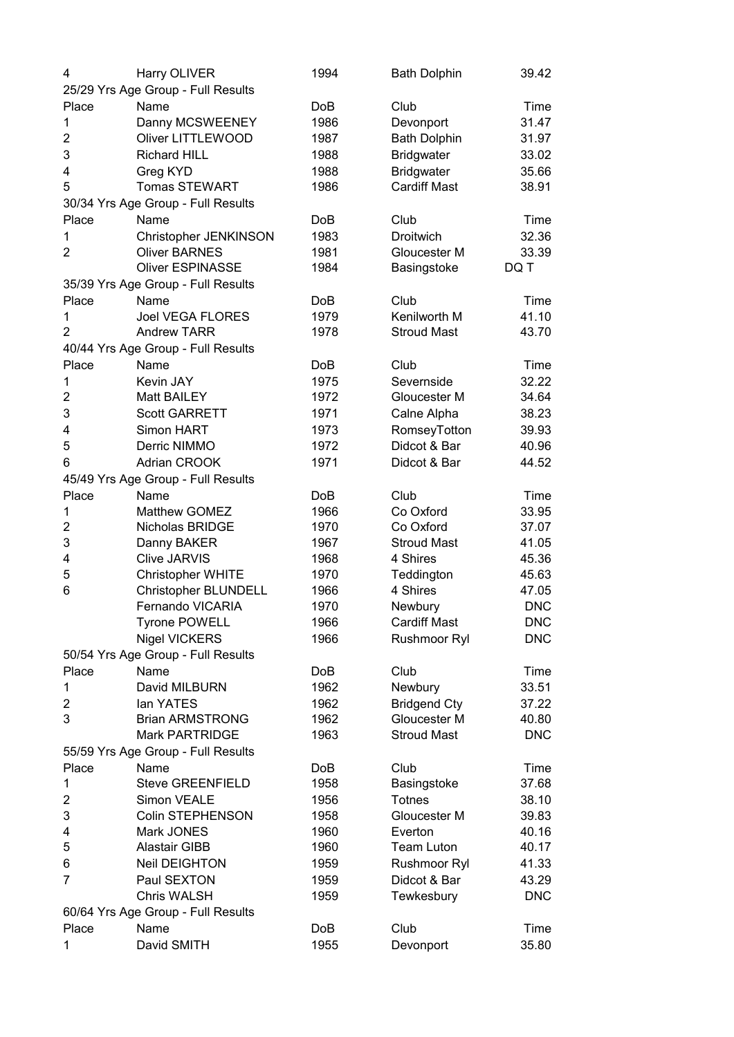| 4              | Harry OLIVER                       | 1994 | <b>Bath Dolphin</b> | 39.42      |
|----------------|------------------------------------|------|---------------------|------------|
|                | 25/29 Yrs Age Group - Full Results |      |                     |            |
| Place          | Name                               | DoB  | Club                | Time       |
| 1              | Danny MCSWEENEY                    | 1986 | Devonport           | 31.47      |
| $\overline{2}$ | <b>Oliver LITTLEWOOD</b>           | 1987 | <b>Bath Dolphin</b> | 31.97      |
| 3              | <b>Richard HILL</b>                | 1988 | <b>Bridgwater</b>   | 33.02      |
| 4              | Greg KYD                           | 1988 | <b>Bridgwater</b>   | 35.66      |
| 5              | <b>Tomas STEWART</b>               | 1986 | <b>Cardiff Mast</b> | 38.91      |
|                | 30/34 Yrs Age Group - Full Results |      |                     |            |
| Place          | Name                               | DoB  | Club                | Time       |
| 1              | Christopher JENKINSON              | 1983 | Droitwich           | 32.36      |
| 2              | <b>Oliver BARNES</b>               | 1981 | Gloucester M        | 33.39      |
|                | <b>Oliver ESPINASSE</b>            | 1984 | Basingstoke         | DQ T       |
|                | 35/39 Yrs Age Group - Full Results |      |                     |            |
| Place          | Name                               | DoB  | Club                | Time       |
| 1              | <b>Joel VEGA FLORES</b>            | 1979 | Kenilworth M        | 41.10      |
| $\overline{2}$ | <b>Andrew TARR</b>                 | 1978 | <b>Stroud Mast</b>  | 43.70      |
|                | 40/44 Yrs Age Group - Full Results |      |                     |            |
| Place          | Name                               | DoB  | Club                | Time       |
| 1              |                                    |      |                     | 32.22      |
| $\overline{2}$ | <b>Kevin JAY</b>                   | 1975 | Severnside          |            |
|                | Matt BAILEY                        | 1972 | Gloucester M        | 34.64      |
| 3              | <b>Scott GARRETT</b>               | 1971 | Calne Alpha         | 38.23      |
| 4              | Simon HART                         | 1973 | RomseyTotton        | 39.93      |
| 5              | Derric NIMMO                       | 1972 | Didcot & Bar        | 40.96      |
| 6              | Adrian CROOK                       | 1971 | Didcot & Bar        | 44.52      |
|                | 45/49 Yrs Age Group - Full Results |      |                     |            |
| Place          | Name                               | DoB  | Club                | Time       |
| 1              | Matthew GOMEZ                      | 1966 | Co Oxford           | 33.95      |
| 2              | Nicholas BRIDGE                    | 1970 | Co Oxford           | 37.07      |
| 3              | Danny BAKER                        | 1967 | <b>Stroud Mast</b>  | 41.05      |
| 4              | <b>Clive JARVIS</b>                | 1968 | 4 Shires            | 45.36      |
| 5              | <b>Christopher WHITE</b>           | 1970 | Teddington          | 45.63      |
| 6              | Christopher BLUNDELL               | 1966 | 4 Shires            | 47.05      |
|                | Fernando VICARIA                   | 1970 | Newbury             | <b>DNC</b> |
|                | Tyrone POWELL                      | 1966 | <b>Cardiff Mast</b> | <b>DNC</b> |
|                | <b>Nigel VICKERS</b>               | 1966 | Rushmoor Ryl        | <b>DNC</b> |
|                | 50/54 Yrs Age Group - Full Results |      |                     |            |
| Place          | Name                               | DoB  | Club                | Time       |
| 1              | David MILBURN                      | 1962 | Newbury             | 33.51      |
| $\overline{2}$ | lan YATES                          | 1962 | <b>Bridgend Cty</b> | 37.22      |
| 3              | <b>Brian ARMSTRONG</b>             | 1962 | Gloucester M        | 40.80      |
|                | <b>Mark PARTRIDGE</b>              | 1963 | <b>Stroud Mast</b>  | <b>DNC</b> |
|                | 55/59 Yrs Age Group - Full Results |      |                     |            |
| Place          | Name                               | DoB  | Club                | Time       |
| 1              | <b>Steve GREENFIELD</b>            | 1958 | Basingstoke         | 37.68      |
| 2              | Simon VEALE                        | 1956 | <b>Totnes</b>       | 38.10      |
| 3              | <b>Colin STEPHENSON</b>            | 1958 | Gloucester M        | 39.83      |
| 4              | Mark JONES                         | 1960 | Everton             | 40.16      |
| 5              | <b>Alastair GIBB</b>               | 1960 | <b>Team Luton</b>   | 40.17      |
| 6              | <b>Neil DEIGHTON</b>               | 1959 | Rushmoor Ryl        | 41.33      |
| 7              | Paul SEXTON                        | 1959 | Didcot & Bar        | 43.29      |
|                | <b>Chris WALSH</b>                 | 1959 | Tewkesbury          | <b>DNC</b> |
|                | 60/64 Yrs Age Group - Full Results |      |                     |            |
| Place          | Name                               | DoB  | Club                | Time       |
| 1              | David SMITH                        | 1955 | Devonport           | 35.80      |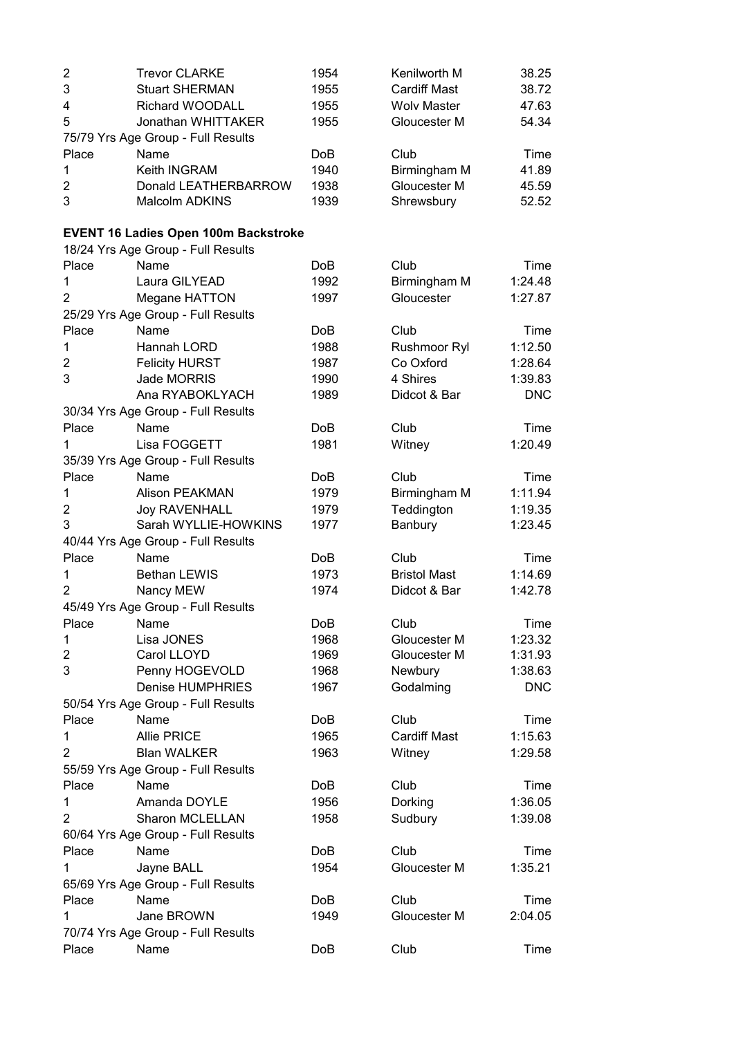| $\overline{2}$ | <b>Trevor CLARKE</b>                 | 1954       | Kenilworth M        | 38.25      |
|----------------|--------------------------------------|------------|---------------------|------------|
| 3              | <b>Stuart SHERMAN</b>                | 1955       | <b>Cardiff Mast</b> | 38.72      |
| 4              | Richard WOODALL                      | 1955       | <b>Wolv Master</b>  | 47.63      |
| 5              | Jonathan WHITTAKER                   | 1955       | Gloucester M        | 54.34      |
|                | 75/79 Yrs Age Group - Full Results   |            |                     |            |
| Place          | Name                                 | DoB        | Club                | Time       |
| 1              | Keith INGRAM                         | 1940       | Birmingham M        | 41.89      |
| 2              | Donald LEATHERBARROW                 | 1938       | Gloucester M        | 45.59      |
| 3              | Malcolm ADKINS                       | 1939       | Shrewsbury          | 52.52      |
|                |                                      |            |                     |            |
|                | EVENT 16 Ladies Open 100m Backstroke |            |                     |            |
|                | 18/24 Yrs Age Group - Full Results   |            |                     |            |
| Place          | Name                                 | DoB        | Club                | Time       |
| 1              | Laura GILYEAD                        | 1992       | Birmingham M        | 1:24.48    |
|                |                                      |            |                     |            |
| $\overline{2}$ | Megane HATTON                        | 1997       | Gloucester          | 1:27.87    |
|                | 25/29 Yrs Age Group - Full Results   |            |                     |            |
| Place          | Name                                 | DoB        | Club                | Time       |
| 1              | Hannah LORD                          | 1988       | Rushmoor Ryl        | 1:12.50    |
| 2              | <b>Felicity HURST</b>                | 1987       | Co Oxford           | 1:28.64    |
| 3              | Jade MORRIS                          | 1990       | 4 Shires            | 1:39.83    |
|                | Ana RYABOKLYACH                      | 1989       | Didcot & Bar        | <b>DNC</b> |
|                | 30/34 Yrs Age Group - Full Results   |            |                     |            |
| Place          | Name                                 | DoB        | Club                | Time       |
| 1              | Lisa FOGGETT                         | 1981       | Witney              | 1:20.49    |
|                | 35/39 Yrs Age Group - Full Results   |            |                     |            |
| Place          | Name                                 | DoB        | Club                | Time       |
| 1              | Alison PEAKMAN                       | 1979       | Birmingham M        | 1:11.94    |
| $\overline{2}$ | <b>Joy RAVENHALL</b>                 | 1979       | Teddington          | 1:19.35    |
| 3              | Sarah WYLLIE-HOWKINS                 | 1977       | Banbury             | 1:23.45    |
|                | 40/44 Yrs Age Group - Full Results   |            |                     |            |
| Place          |                                      |            | Club                | Time       |
|                | Name                                 | DoB        |                     |            |
| $\mathbf{1}$   | <b>Bethan LEWIS</b>                  | 1973       | <b>Bristol Mast</b> | 1:14.69    |
| $\overline{2}$ | Nancy MEW                            | 1974       | Didcot & Bar        | 1:42.78    |
|                | 45/49 Yrs Age Group - Full Results   |            |                     |            |
| Place          | Name                                 | DoB        | Club                | Time       |
| 1              | Lisa JONES                           | 1968       | Gloucester M        | 1:23.32    |
| 2              | Carol LLOYD                          | 1969       | Gloucester M        | 1:31.93    |
| 3              | Penny HOGEVOLD                       | 1968       | Newbury             | 1:38.63    |
|                | <b>Denise HUMPHRIES</b>              | 1967       | Godalming           | <b>DNC</b> |
|                | 50/54 Yrs Age Group - Full Results   |            |                     |            |
| Place          | Name                                 | DoB        | Club                | Time       |
| 1              | <b>Allie PRICE</b>                   | 1965       | <b>Cardiff Mast</b> | 1:15.63    |
| 2              | <b>Blan WALKER</b>                   | 1963       | Witney              | 1:29.58    |
|                | 55/59 Yrs Age Group - Full Results   |            |                     |            |
| Place          | Name                                 | DoB        | Club                | Time       |
| 1              | Amanda DOYLE                         | 1956       | Dorking             | 1:36.05    |
| $\overline{2}$ | Sharon MCLELLAN                      | 1958       | Sudbury             | 1:39.08    |
|                |                                      |            |                     |            |
|                | 60/64 Yrs Age Group - Full Results   |            |                     |            |
| Place          | Name                                 | DoB        | Club                | Time       |
| 1              | Jayne BALL                           | 1954       | Gloucester M        | 1:35.21    |
|                | 65/69 Yrs Age Group - Full Results   |            |                     |            |
| Place          | Name                                 | DoB        | Club                | Time       |
| 1              | Jane BROWN                           | 1949       | Gloucester M        | 2:04.05    |
|                | 70/74 Yrs Age Group - Full Results   |            |                     |            |
| Place          | Name                                 | <b>DoB</b> | Club                | Time       |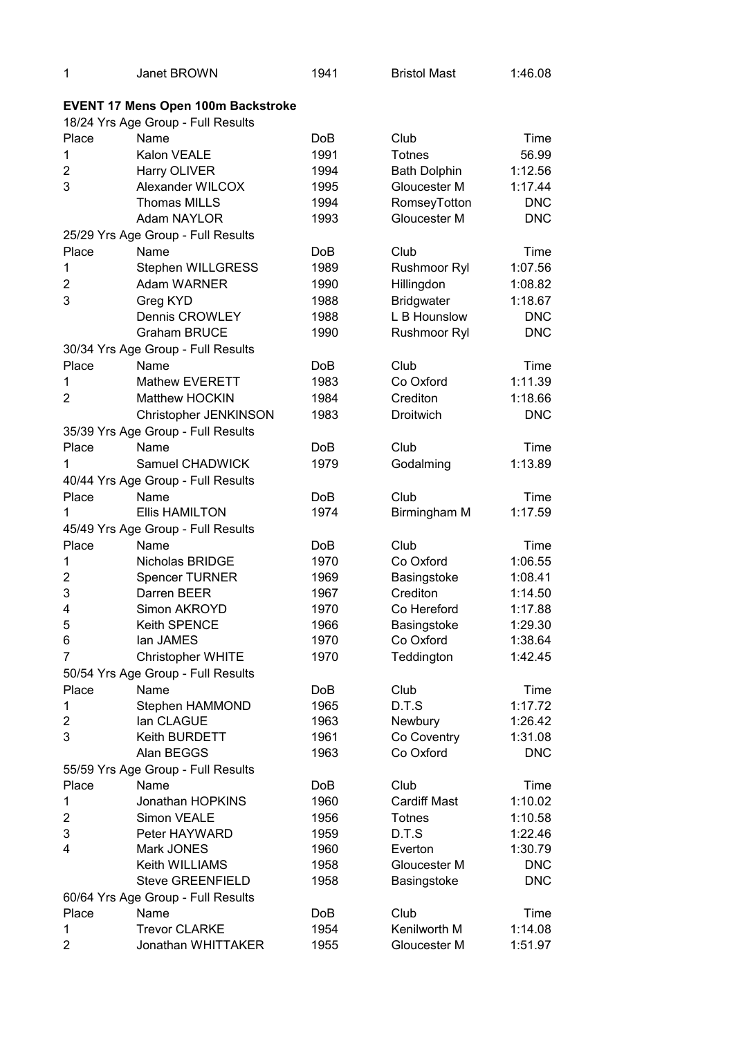| 1                       | Janet BROWN                                                                     | 1941 | <b>Bristol Mast</b> | 1:46.08    |
|-------------------------|---------------------------------------------------------------------------------|------|---------------------|------------|
|                         | <b>EVENT 17 Mens Open 100m Backstroke</b><br>18/24 Yrs Age Group - Full Results |      |                     |            |
| Place                   | Name                                                                            | DoB  | Club                | Time       |
| 1                       | Kalon VEALE                                                                     | 1991 | <b>Totnes</b>       | 56.99      |
| $\overline{2}$          | Harry OLIVER                                                                    | 1994 | <b>Bath Dolphin</b> | 1:12.56    |
| 3                       | Alexander WILCOX                                                                | 1995 | Gloucester M        | 1:17.44    |
|                         | <b>Thomas MILLS</b>                                                             | 1994 | RomseyTotton        | <b>DNC</b> |
|                         | Adam NAYLOR                                                                     | 1993 | Gloucester M        | <b>DNC</b> |
|                         | 25/29 Yrs Age Group - Full Results                                              |      |                     |            |
| Place                   | Name                                                                            | DoB  | Club                | Time       |
| 1                       | Stephen WILLGRESS                                                               | 1989 | Rushmoor Ryl        | 1:07.56    |
| $\overline{2}$          | Adam WARNER                                                                     | 1990 | Hillingdon          | 1:08.82    |
| 3                       | Greg KYD                                                                        | 1988 | <b>Bridgwater</b>   | 1:18.67    |
|                         | <b>Dennis CROWLEY</b>                                                           | 1988 | L B Hounslow        | <b>DNC</b> |
|                         | <b>Graham BRUCE</b>                                                             |      |                     | <b>DNC</b> |
|                         |                                                                                 | 1990 | <b>Rushmoor Ryl</b> |            |
|                         | 30/34 Yrs Age Group - Full Results                                              |      |                     |            |
| Place                   | Name                                                                            | DoB  | Club                | Time       |
| $\mathbf{1}$            | Mathew EVERETT                                                                  | 1983 | Co Oxford           | 1:11.39    |
| $\overline{2}$          | <b>Matthew HOCKIN</b>                                                           | 1984 | Crediton            | 1:18.66    |
|                         | Christopher JENKINSON                                                           | 1983 | <b>Droitwich</b>    | <b>DNC</b> |
|                         | 35/39 Yrs Age Group - Full Results                                              |      |                     |            |
| Place                   | Name                                                                            | DoB  | Club                | Time       |
| 1                       | Samuel CHADWICK                                                                 | 1979 | Godalming           | 1:13.89    |
|                         | 40/44 Yrs Age Group - Full Results                                              |      |                     |            |
| Place                   | Name                                                                            | DoB  | Club                | Time       |
| 1                       | <b>Ellis HAMILTON</b>                                                           | 1974 | Birmingham M        | 1:17.59    |
|                         | 45/49 Yrs Age Group - Full Results                                              |      |                     |            |
| Place                   | Name                                                                            | DoB  | Club                | Time       |
| 1                       | Nicholas BRIDGE                                                                 | 1970 | Co Oxford           | 1:06.55    |
| $\overline{2}$          | <b>Spencer TURNER</b>                                                           | 1969 | Basingstoke         | 1:08.41    |
| 3                       | Darren BEER                                                                     | 1967 | Crediton            | 1:14.50    |
| 4                       | Simon AKROYD                                                                    | 1970 | Co Hereford         | 1:17.88    |
| 5                       | Keith SPENCE                                                                    | 1966 | Basingstoke         | 1:29.30    |
| 6                       | lan JAMES                                                                       | 1970 | Co Oxford           | 1:38.64    |
| $\overline{7}$          | Christopher WHITE                                                               | 1970 | Teddington          | 1:42.45    |
|                         | 50/54 Yrs Age Group - Full Results                                              |      |                     |            |
| Place                   | Name                                                                            | DoB  | Club                | Time       |
| 1                       | Stephen HAMMOND                                                                 | 1965 | D.T.S               | 1:17.72    |
| $\overline{\mathbf{c}}$ | lan CLAGUE                                                                      | 1963 | Newbury             | 1:26.42    |
| 3                       | Keith BURDETT                                                                   | 1961 | Co Coventry         | 1:31.08    |
|                         | Alan BEGGS                                                                      | 1963 | Co Oxford           | <b>DNC</b> |
|                         | 55/59 Yrs Age Group - Full Results                                              |      |                     |            |
| Place                   | Name                                                                            | DoB  | Club                | Time       |
| 1                       | Jonathan HOPKINS                                                                | 1960 | <b>Cardiff Mast</b> | 1:10.02    |
| $\overline{\mathbf{c}}$ | Simon VEALE                                                                     | 1956 | <b>Totnes</b>       | 1:10.58    |
| 3                       | Peter HAYWARD                                                                   | 1959 | D.T.S               | 1:22.46    |
| $\overline{\mathbf{4}}$ | Mark JONES                                                                      | 1960 | Everton             | 1:30.79    |
|                         | Keith WILLIAMS                                                                  | 1958 | Gloucester M        | <b>DNC</b> |
|                         | <b>Steve GREENFIELD</b>                                                         | 1958 | Basingstoke         | <b>DNC</b> |
|                         | 60/64 Yrs Age Group - Full Results                                              |      |                     |            |
| Place                   | Name                                                                            | DoB  | Club                | Time       |
| 1                       | <b>Trevor CLARKE</b>                                                            | 1954 | Kenilworth M        | 1:14.08    |
| $\overline{2}$          | Jonathan WHITTAKER                                                              | 1955 | Gloucester M        | 1:51.97    |
|                         |                                                                                 |      |                     |            |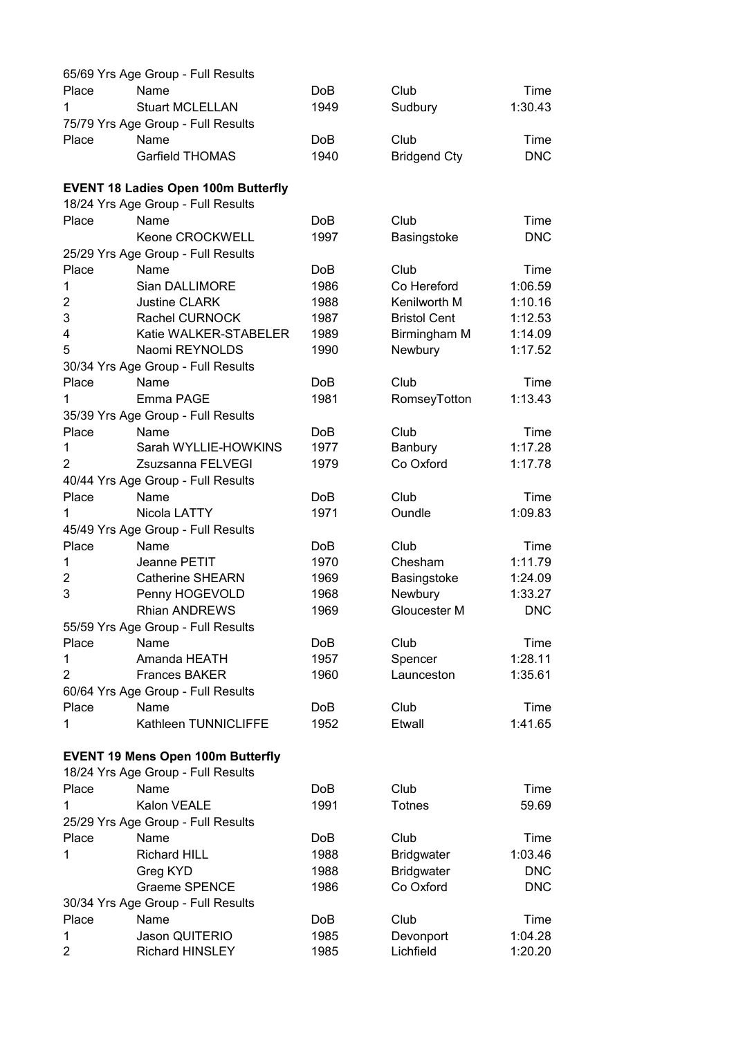|                | 65/69 Yrs Age Group - Full Results         |            |                     |            |
|----------------|--------------------------------------------|------------|---------------------|------------|
| Place          | Name                                       | DoB        | Club                | Time       |
| 1              | <b>Stuart MCLELLAN</b>                     | 1949       | Sudbury             | 1:30.43    |
|                | 75/79 Yrs Age Group - Full Results         |            |                     |            |
| Place          | Name                                       | DoB        | Club                | Time       |
|                | <b>Garfield THOMAS</b>                     | 1940       | <b>Bridgend Cty</b> | <b>DNC</b> |
|                |                                            |            |                     |            |
|                | <b>EVENT 18 Ladies Open 100m Butterfly</b> |            |                     |            |
|                | 18/24 Yrs Age Group - Full Results         |            |                     |            |
| Place          | Name                                       | <b>DoB</b> | Club                | Time       |
|                | Keone CROCKWELL                            | 1997       | Basingstoke         | <b>DNC</b> |
|                | 25/29 Yrs Age Group - Full Results         |            |                     |            |
| Place          | Name                                       |            | Club                | Time       |
| 1              | Sian DALLIMORE                             | DoB        | Co Hereford         | 1:06.59    |
|                |                                            | 1986       |                     |            |
| $\overline{2}$ | Justine CLARK                              | 1988       | Kenilworth M        | 1:10.16    |
| 3              | <b>Rachel CURNOCK</b>                      | 1987       | <b>Bristol Cent</b> | 1:12.53    |
| 4              | Katie WALKER-STABELER                      | 1989       | Birmingham M        | 1:14.09    |
| 5              | Naomi REYNOLDS                             | 1990       | Newbury             | 1:17.52    |
|                | 30/34 Yrs Age Group - Full Results         |            |                     |            |
| Place          | Name                                       | <b>DoB</b> | Club                | Time       |
| 1              | Emma PAGE                                  | 1981       | RomseyTotton        | 1:13.43    |
|                | 35/39 Yrs Age Group - Full Results         |            |                     |            |
| Place          | Name                                       | DoB        | Club                | Time       |
| 1              | Sarah WYLLIE-HOWKINS                       | 1977       | Banbury             | 1:17.28    |
| $\overline{2}$ | Zsuzsanna FELVEGI                          | 1979       | Co Oxford           | 1:17.78    |
|                | 40/44 Yrs Age Group - Full Results         |            |                     |            |
| Place          | Name                                       | DoB        | Club                | Time       |
| 1              | Nicola LATTY                               | 1971       | Oundle              | 1:09.83    |
|                | 45/49 Yrs Age Group - Full Results         |            |                     |            |
| Place          | Name                                       | DoB        | Club                | Time       |
| 1              | Jeanne PETIT                               | 1970       | Chesham             | 1:11.79    |
| $\overline{2}$ | <b>Catherine SHEARN</b>                    | 1969       | Basingstoke         | 1:24.09    |
| 3              | Penny HOGEVOLD                             | 1968       | Newbury             | 1:33.27    |
|                | <b>Rhian ANDREWS</b>                       | 1969       | Gloucester M        | <b>DNC</b> |
|                | 55/59 Yrs Age Group - Full Results         |            |                     |            |
| Place          | Name                                       | DoB        | Club                | Time       |
| 1              | Amanda HEATH                               | 1957       | Spencer             | 1:28.11    |
| $\overline{2}$ | <b>Frances BAKER</b>                       |            | Launceston          | 1:35.61    |
|                |                                            | 1960       |                     |            |
|                | 60/64 Yrs Age Group - Full Results         |            |                     |            |
| Place          | Name                                       | DoB        | Club                | Time       |
| 1              | Kathleen TUNNICLIFFE                       | 1952       | Etwall              | 1:41.65    |
|                |                                            |            |                     |            |
|                | <b>EVENT 19 Mens Open 100m Butterfly</b>   |            |                     |            |
|                | 18/24 Yrs Age Group - Full Results         |            |                     |            |
| Place          | Name                                       | DoB        | Club                | Time       |
| 1              | Kalon VEALE                                | 1991       | <b>Totnes</b>       | 59.69      |
|                | 25/29 Yrs Age Group - Full Results         |            |                     |            |
| Place          | Name                                       | DoB        | Club                | Time       |
| 1              | <b>Richard HILL</b>                        | 1988       | <b>Bridgwater</b>   | 1:03.46    |
|                | Greg KYD                                   | 1988       | <b>Bridgwater</b>   | <b>DNC</b> |
|                | <b>Graeme SPENCE</b>                       | 1986       | Co Oxford           | <b>DNC</b> |
|                | 30/34 Yrs Age Group - Full Results         |            |                     |            |
| Place          | Name                                       | DoB        | Club                | Time       |
| 1              | Jason QUITERIO                             | 1985       | Devonport           | 1:04.28    |
| $\overline{2}$ | Richard HINSLEY                            | 1985       | Lichfield           | 1:20.20    |
|                |                                            |            |                     |            |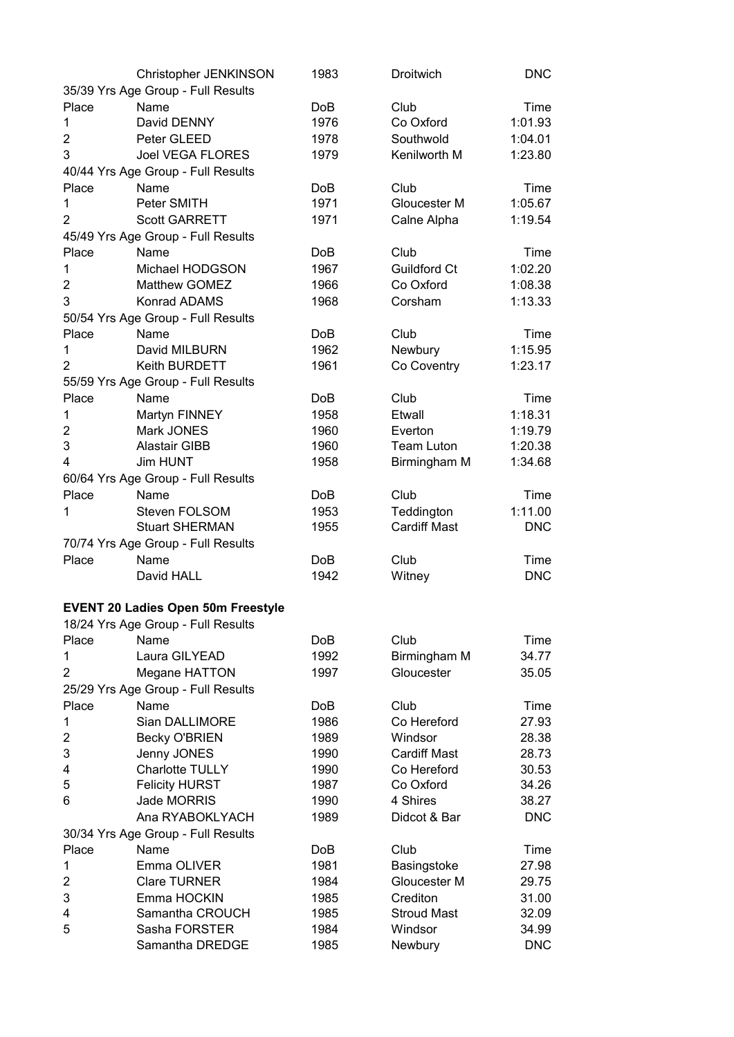|                | Christopher JENKINSON                     | 1983         | Droitwich           | <b>DNC</b>          |
|----------------|-------------------------------------------|--------------|---------------------|---------------------|
|                | 35/39 Yrs Age Group - Full Results        |              |                     |                     |
| Place          | Name                                      | DoB          | Club                | Time                |
| 1              | David DENNY                               | 1976         | Co Oxford           | 1:01.93             |
| 2              | Peter GLEED                               | 1978         | Southwold           | 1:04.01             |
| 3              | <b>Joel VEGA FLORES</b>                   | 1979         | Kenilworth M        | 1:23.80             |
|                | 40/44 Yrs Age Group - Full Results        |              |                     |                     |
| Place          | Name                                      | DoB          | Club                | Time                |
| 1              | Peter SMITH                               | 1971         | Gloucester M        | 1:05.67             |
| 2              | <b>Scott GARRETT</b>                      | 1971         | Calne Alpha         | 1:19.54             |
|                | 45/49 Yrs Age Group - Full Results        |              |                     |                     |
| Place          | Name                                      | DoB          | Club                | Time                |
| 1              | Michael HODGSON                           | 1967         | <b>Guildford Ct</b> | 1:02.20             |
| $\overline{2}$ | Matthew GOMEZ                             | 1966         | Co Oxford           | 1:08.38             |
| 3              | Konrad ADAMS                              | 1968         | Corsham             | 1:13.33             |
|                | 50/54 Yrs Age Group - Full Results        |              |                     |                     |
| Place          | Name                                      | DoB          | Club                | Time                |
| 1              | David MILBURN                             | 1962         | Newbury             | 1:15.95             |
| $\overline{2}$ | Keith BURDETT                             | 1961         | Co Coventry         | 1:23.17             |
|                | 55/59 Yrs Age Group - Full Results        |              |                     |                     |
| Place          | Name                                      | <b>DoB</b>   | Club                | Time                |
| 1              | Martyn FINNEY                             | 1958         | Etwall              | 1:18.31             |
| 2              | Mark JONES                                | 1960         | Everton             | 1:19.79             |
| 3              | <b>Alastair GIBB</b>                      | 1960         | <b>Team Luton</b>   | 1:20.38             |
| 4              | Jim HUNT                                  | 1958         | Birmingham M        | 1:34.68             |
|                | 60/64 Yrs Age Group - Full Results        |              |                     |                     |
| Place          | Name                                      | <b>DoB</b>   | Club                | Time                |
| 1              | Steven FOLSOM                             | 1953         | Teddington          | 1:11.00             |
|                | <b>Stuart SHERMAN</b>                     | 1955         | <b>Cardiff Mast</b> | <b>DNC</b>          |
|                | 70/74 Yrs Age Group - Full Results        |              |                     |                     |
| Place          | Name                                      | DoB          | Club                | Time                |
|                | David HALL                                | 1942         | Witney              | <b>DNC</b>          |
|                |                                           |              |                     |                     |
|                | <b>EVENT 20 Ladies Open 50m Freestyle</b> |              |                     |                     |
|                | 18/24 Yrs Age Group - Full Results        |              |                     |                     |
| Place          | Name                                      | DoB          | Club                | Time                |
| 1              | Laura GILYEAD                             | 1992         | Birmingham M        | 34.77               |
| $\overline{2}$ | <b>Megane HATTON</b>                      | 1997         | Gloucester          | 35.05               |
|                | 25/29 Yrs Age Group - Full Results        |              |                     |                     |
| Place          | Name                                      | DoB          | Club                | Time                |
| 1              | Sian DALLIMORE                            | 1986         | Co Hereford         | 27.93               |
| 2              | <b>Becky O'BRIEN</b>                      | 1989         | Windsor             | 28.38               |
| 3              | Jenny JONES                               | 1990         | <b>Cardiff Mast</b> | 28.73               |
| 4              | <b>Charlotte TULLY</b>                    | 1990         | Co Hereford         | 30.53               |
| 5              | <b>Felicity HURST</b>                     | 1987         | Co Oxford           | 34.26               |
| 6              | Jade MORRIS                               | 1990         | 4 Shires            | 38.27               |
|                | Ana RYABOKLYACH                           | 1989         | Didcot & Bar        | <b>DNC</b>          |
|                | 30/34 Yrs Age Group - Full Results        |              |                     |                     |
| Place          | Name                                      | DoB          | Club                | Time                |
| 1              | Emma OLIVER                               | 1981         | Basingstoke         | 27.98               |
| 2              | <b>Clare TURNER</b>                       | 1984         | Gloucester M        | 29.75               |
| 3              | Emma HOCKIN                               | 1985         | Crediton            | 31.00               |
| 4              | Samantha CROUCH                           | 1985         | <b>Stroud Mast</b>  | 32.09               |
| 5              | Sasha FORSTER<br>Samantha DREDGE          | 1984<br>1985 | Windsor             | 34.99<br><b>DNC</b> |
|                |                                           |              | Newbury             |                     |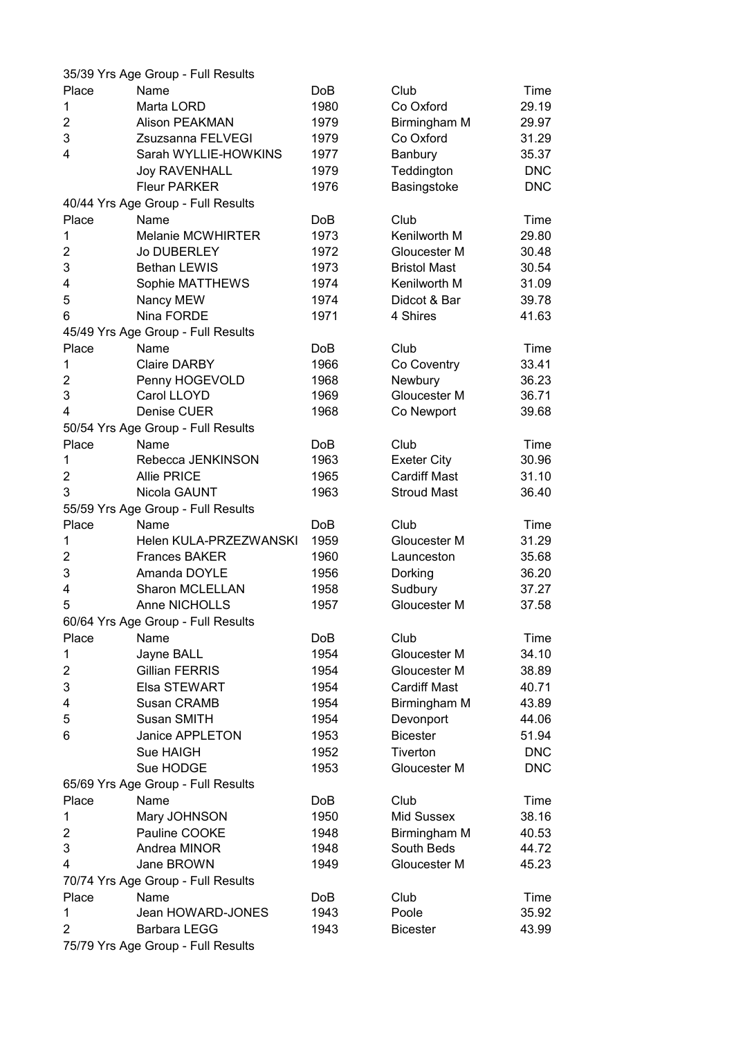|                         | 35/39 Yrs Age Group - Full Results |      |                     |            |
|-------------------------|------------------------------------|------|---------------------|------------|
| Place                   | Name                               | DoB  | Club                | Time       |
| 1                       | Marta LORD                         | 1980 | Co Oxford           | 29.19      |
| $\overline{\mathbf{c}}$ | <b>Alison PEAKMAN</b>              | 1979 | Birmingham M        | 29.97      |
| 3                       | Zsuzsanna FELVEGI                  | 1979 | Co Oxford           | 31.29      |
| 4                       | Sarah WYLLIE-HOWKINS               | 1977 | Banbury             | 35.37      |
|                         | <b>Joy RAVENHALL</b>               | 1979 | Teddington          | <b>DNC</b> |
|                         | <b>Fleur PARKER</b>                | 1976 | Basingstoke         | <b>DNC</b> |
|                         | 40/44 Yrs Age Group - Full Results |      |                     |            |
| Place                   | Name                               | DoB  | Club                | Time       |
| 1                       | <b>Melanie MCWHIRTER</b>           | 1973 | Kenilworth M        | 29.80      |
| $\overline{2}$          | Jo DUBERLEY                        | 1972 | Gloucester M        | 30.48      |
| 3                       | <b>Bethan LEWIS</b>                | 1973 | <b>Bristol Mast</b> | 30.54      |
| 4                       | Sophie MATTHEWS                    | 1974 | Kenilworth M        | 31.09      |
| 5                       | Nancy MEW                          | 1974 | Didcot & Bar        | 39.78      |
| 6                       | Nina FORDE                         | 1971 | 4 Shires            | 41.63      |
|                         | 45/49 Yrs Age Group - Full Results |      |                     |            |
| Place                   | Name                               | DoB  | Club                | Time       |
| 1                       | <b>Claire DARBY</b>                | 1966 | Co Coventry         | 33.41      |
| $\overline{\mathbf{c}}$ | Penny HOGEVOLD                     | 1968 | Newbury             | 36.23      |
| 3                       | Carol LLOYD                        | 1969 | Gloucester M        | 36.71      |
| 4                       | Denise CUER                        | 1968 | Co Newport          | 39.68      |
|                         | 50/54 Yrs Age Group - Full Results |      |                     |            |
| Place                   | Name                               | DoB  | Club                | Time       |
| 1                       | Rebecca JENKINSON                  | 1963 | <b>Exeter City</b>  | 30.96      |
| $\overline{\mathbf{c}}$ | <b>Allie PRICE</b>                 | 1965 | <b>Cardiff Mast</b> | 31.10      |
| 3                       | Nicola GAUNT                       | 1963 | <b>Stroud Mast</b>  | 36.40      |
|                         | 55/59 Yrs Age Group - Full Results |      |                     |            |
| Place                   | Name                               | DoB  | Club                | Time       |
| 1                       | Helen KULA-PRZEZWANSKI             | 1959 | Gloucester M        | 31.29      |
| $\overline{2}$          | <b>Frances BAKER</b>               | 1960 | Launceston          | 35.68      |
| 3                       | Amanda DOYLE                       | 1956 | Dorking             | 36.20      |
| 4                       | Sharon MCLELLAN                    | 1958 | Sudbury             | 37.27      |
| 5                       | Anne NICHOLLS                      | 1957 | Gloucester M        | 37.58      |
|                         |                                    |      |                     |            |
|                         | 60/64 Yrs Age Group - Full Results |      |                     | Time       |
| Place                   | Name                               | DoB  | Club                |            |
| 1                       | Jayne BALL                         | 1954 | Gloucester M        | 34.10      |
| 2                       | Gillian FERRIS                     | 1954 | Gloucester M        | 38.89      |
| 3                       | Elsa STEWART                       | 1954 | <b>Cardiff Mast</b> | 40.71      |
| 4                       | Susan CRAMB                        | 1954 | Birmingham M        | 43.89      |
| 5                       | Susan SMITH                        | 1954 | Devonport           | 44.06      |
| 6                       | <b>Janice APPLETON</b>             | 1953 | <b>Bicester</b>     | 51.94      |
|                         | Sue HAIGH                          | 1952 | Tiverton            | <b>DNC</b> |
|                         | Sue HODGE                          | 1953 | Gloucester M        | <b>DNC</b> |
|                         | 65/69 Yrs Age Group - Full Results |      |                     |            |
| Place                   | Name                               | DoB  | Club                | Time       |
| 1                       | Mary JOHNSON                       | 1950 | Mid Sussex          | 38.16      |
| 2                       | Pauline COOKE                      | 1948 | Birmingham M        | 40.53      |
| 3                       | Andrea MINOR                       | 1948 | South Beds          | 44.72      |
| 4                       | Jane BROWN                         | 1949 | Gloucester M        | 45.23      |
|                         | 70/74 Yrs Age Group - Full Results |      |                     |            |
| Place                   | Name                               | DoB  | Club                | Time       |
| 1                       | Jean HOWARD-JONES                  | 1943 | Poole               | 35.92      |
| 2                       | <b>Barbara LEGG</b>                | 1943 | <b>Bicester</b>     | 43.99      |
|                         | 75/79 Yrs Age Group - Full Results |      |                     |            |
|                         |                                    |      |                     |            |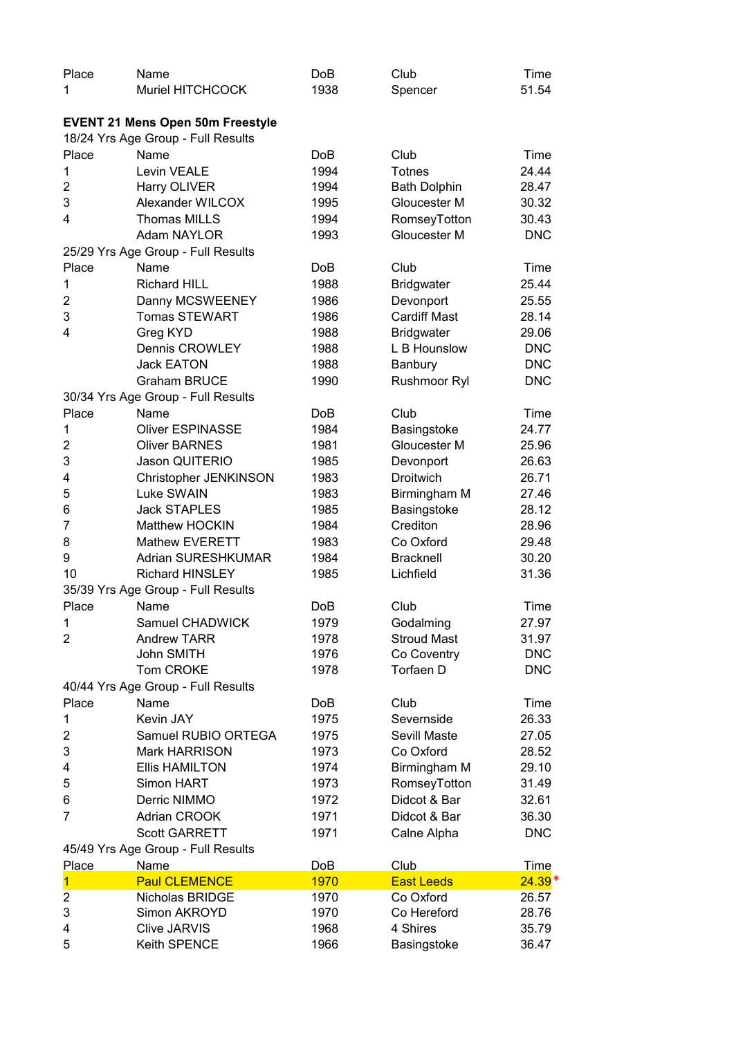| Place                   | Name                                    | <b>DoB</b> | Club                | Time       |
|-------------------------|-----------------------------------------|------------|---------------------|------------|
| 1                       | <b>Muriel HITCHCOCK</b>                 | 1938       | Spencer             | 51.54      |
|                         |                                         |            |                     |            |
|                         | <b>EVENT 21 Mens Open 50m Freestyle</b> |            |                     |            |
|                         | 18/24 Yrs Age Group - Full Results      |            |                     |            |
| Place                   | Name                                    | DoB        | Club                | Time       |
| 1                       | Levin VEALE                             | 1994       | <b>Totnes</b>       | 24.44      |
| $\overline{2}$          | Harry OLIVER                            | 1994       | <b>Bath Dolphin</b> | 28.47      |
| 3                       | Alexander WILCOX                        | 1995       | Gloucester M        | 30.32      |
| 4                       | <b>Thomas MILLS</b>                     | 1994       | RomseyTotton        | 30.43      |
|                         | Adam NAYLOR                             | 1993       | Gloucester M        | <b>DNC</b> |
|                         | 25/29 Yrs Age Group - Full Results      |            |                     |            |
| Place                   | Name                                    | <b>DoB</b> | Club                | Time       |
| 1                       | <b>Richard HILL</b>                     | 1988       | <b>Bridgwater</b>   | 25.44      |
| 2                       | Danny MCSWEENEY                         | 1986       | Devonport           | 25.55      |
| 3                       | <b>Tomas STEWART</b>                    | 1986       | <b>Cardiff Mast</b> | 28.14      |
| 4                       | Greg KYD                                | 1988       | <b>Bridgwater</b>   | 29.06      |
|                         | <b>Dennis CROWLEY</b>                   | 1988       | L B Hounslow        | <b>DNC</b> |
|                         | <b>Jack EATON</b>                       | 1988       | Banbury             | <b>DNC</b> |
|                         | <b>Graham BRUCE</b>                     | 1990       | Rushmoor Ryl        | <b>DNC</b> |
|                         | 30/34 Yrs Age Group - Full Results      |            |                     |            |
| Place                   | Name                                    | DoB        | Club                | Time       |
| 1                       | <b>Oliver ESPINASSE</b>                 | 1984       | Basingstoke         | 24.77      |
| 2                       | <b>Oliver BARNES</b>                    | 1981       | Gloucester M        | 25.96      |
| 3                       | Jason QUITERIO                          | 1985       | Devonport           | 26.63      |
| 4                       | Christopher JENKINSON                   | 1983       | <b>Droitwich</b>    | 26.71      |
| 5                       | <b>Luke SWAIN</b>                       | 1983       | Birmingham M        | 27.46      |
| 6                       | <b>Jack STAPLES</b>                     | 1985       | Basingstoke         | 28.12      |
| 7                       | <b>Matthew HOCKIN</b>                   | 1984       | Crediton            | 28.96      |
| 8                       | Mathew EVERETT                          | 1983       | Co Oxford           | 29.48      |
| 9                       | <b>Adrian SURESHKUMAR</b>               | 1984       | <b>Bracknell</b>    | 30.20      |
| 10                      | <b>Richard HINSLEY</b>                  | 1985       | Lichfield           | 31.36      |
|                         | 35/39 Yrs Age Group - Full Results      |            |                     |            |
| Place                   | Name                                    | <b>DoB</b> | Club                | Time       |
| $\mathbf{1}$            | Samuel CHADWICK                         | 1979       | Godalming           | 27.97      |
| 2                       | <b>Andrew TARR</b>                      | 1978       | <b>Stroud Mast</b>  | 31.97      |
|                         | John SMITH                              | 1976       | Co Coventry         | <b>DNC</b> |
|                         | Tom CROKE                               | 1978       | Torfaen D           | <b>DNC</b> |
|                         | 40/44 Yrs Age Group - Full Results      |            |                     |            |
| Place                   | Name                                    | DoB        | Club                | Time       |
| 1                       | Kevin JAY                               | 1975       | Severnside          | 26.33      |
| $\overline{2}$          | Samuel RUBIO ORTEGA                     | 1975       | Sevill Maste        | 27.05      |
| 3                       | Mark HARRISON                           | 1973       | Co Oxford           | 28.52      |
| 4                       | <b>Ellis HAMILTON</b>                   | 1974       | Birmingham M        | 29.10      |
| 5                       | Simon HART                              | 1973       | RomseyTotton        | 31.49      |
| 6                       | Derric NIMMO                            | 1972       | Didcot & Bar        | 32.61      |
| 7                       | Adrian CROOK                            | 1971       | Didcot & Bar        | 36.30      |
|                         | <b>Scott GARRETT</b>                    | 1971       | Calne Alpha         | <b>DNC</b> |
|                         | 45/49 Yrs Age Group - Full Results      |            |                     |            |
| Place                   | Name                                    | DoB        | Club                | Time       |
| $\overline{\mathbf{1}}$ | <b>Paul CLEMENCE</b>                    | 1970       | <b>East Leeds</b>   | $24.39*$   |
| $\mathbf 2$             | Nicholas BRIDGE                         | 1970       | Co Oxford           | 26.57      |
| 3                       | Simon AKROYD                            | 1970       | Co Hereford         | 28.76      |
| 4                       | Clive JARVIS                            | 1968       | 4 Shires            | 35.79      |
| 5                       | Keith SPENCE                            | 1966       | Basingstoke         | 36.47      |